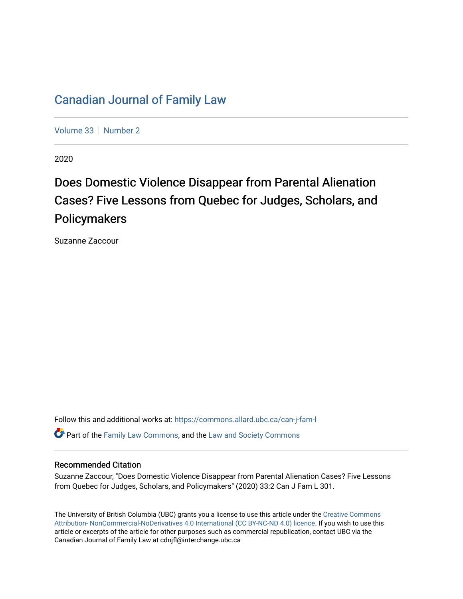# [Canadian Journal of Family Law](https://commons.allard.ubc.ca/can-j-fam-l)

[Volume 33](https://commons.allard.ubc.ca/can-j-fam-l/vol33) | [Number 2](https://commons.allard.ubc.ca/can-j-fam-l/vol33/iss2)

2020

# Does Domestic Violence Disappear from Parental Alienation Cases? Five Lessons from Quebec for Judges, Scholars, and Policymakers

Suzanne Zaccour

Follow this and additional works at: [https://commons.allard.ubc.ca/can-j-fam-l](https://commons.allard.ubc.ca/can-j-fam-l?utm_source=commons.allard.ubc.ca%2Fcan-j-fam-l%2Fvol33%2Fiss2%2F8&utm_medium=PDF&utm_campaign=PDFCoverPages) 

**P** Part of the [Family Law Commons,](http://network.bepress.com/hgg/discipline/602?utm_source=commons.allard.ubc.ca%2Fcan-j-fam-l%2Fvol33%2Fiss2%2F8&utm_medium=PDF&utm_campaign=PDFCoverPages) and the Law and Society Commons

#### Recommended Citation

Suzanne Zaccour, "Does Domestic Violence Disappear from Parental Alienation Cases? Five Lessons from Quebec for Judges, Scholars, and Policymakers" (2020) 33:2 Can J Fam L 301.

The University of British Columbia (UBC) grants you a license to use this article under the [Creative Commons](https://creativecommons.org/licenses/by-nc-nd/4.0/)  [Attribution- NonCommercial-NoDerivatives 4.0 International \(CC BY-NC-ND 4.0\) licence.](https://creativecommons.org/licenses/by-nc-nd/4.0/) If you wish to use this article or excerpts of the article for other purposes such as commercial republication, contact UBC via the Canadian Journal of Family Law at cdnjfl@interchange.ubc.ca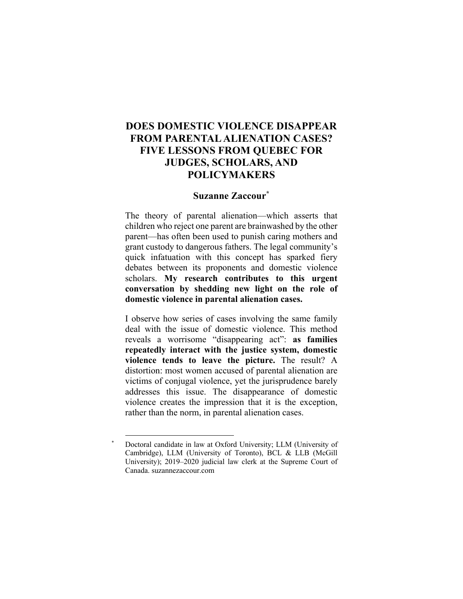# **DOES DOMESTIC VIOLENCE DISAPPEAR FROM PARENTAL ALIENATION CASES? FIVE LESSONS FROM QUEBEC FOR JUDGES, SCHOLARS, AND POLICYMAKERS**

#### **Suzanne Zaccour\***

The theory of parental alienation—which asserts that children who reject one parent are brainwashed by the other parent—has often been used to punish caring mothers and grant custody to dangerous fathers. The legal community's quick infatuation with this concept has sparked fiery debates between its proponents and domestic violence scholars. **My research contributes to this urgent conversation by shedding new light on the role of domestic violence in parental alienation cases.**

I observe how series of cases involving the same family deal with the issue of domestic violence. This method reveals a worrisome "disappearing act": **as families repeatedly interact with the justice system, domestic violence tends to leave the picture.** The result? A distortion: most women accused of parental alienation are victims of conjugal violence, yet the jurisprudence barely addresses this issue. The disappearance of domestic violence creates the impression that it is the exception, rather than the norm, in parental alienation cases.

Doctoral candidate in law at Oxford University; LLM (University of Cambridge), LLM (University of Toronto), BCL & LLB (McGill University); 2019–2020 judicial law clerk at the Supreme Court of Canada. suzannezaccour.com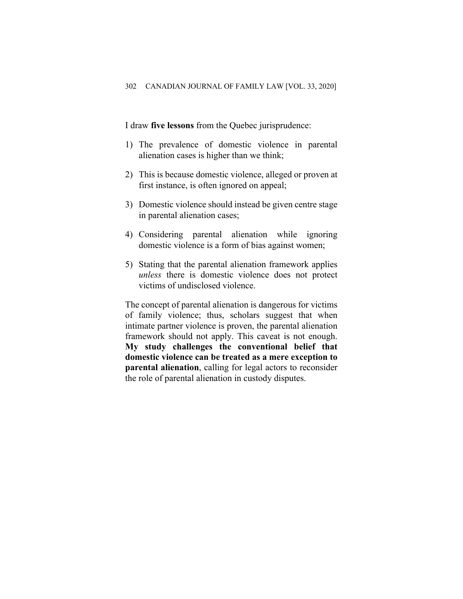I draw **five lessons** from the Quebec jurisprudence:

- 1) The prevalence of domestic violence in parental alienation cases is higher than we think;
- 2) This is because domestic violence, alleged or proven at first instance, is often ignored on appeal;
- 3) Domestic violence should instead be given centre stage in parental alienation cases;
- 4) Considering parental alienation while ignoring domestic violence is a form of bias against women;
- 5) Stating that the parental alienation framework applies *unless* there is domestic violence does not protect victims of undisclosed violence.

The concept of parental alienation is dangerous for victims of family violence; thus, scholars suggest that when intimate partner violence is proven, the parental alienation framework should not apply. This caveat is not enough. **My study challenges the conventional belief that domestic violence can be treated as a mere exception to parental alienation**, calling for legal actors to reconsider the role of parental alienation in custody disputes.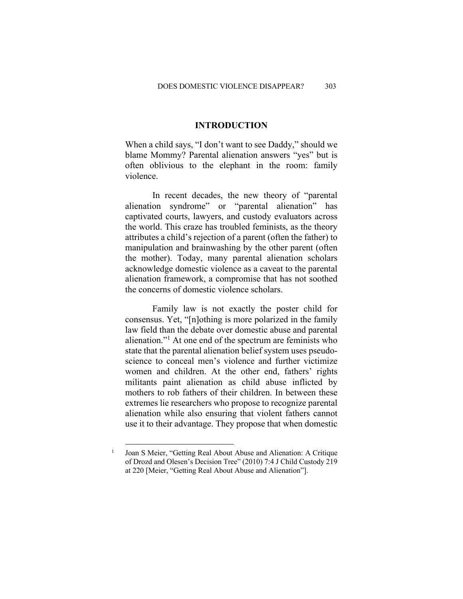#### **INTRODUCTION**

When a child says, "I don't want to see Daddy," should we blame Mommy? Parental alienation answers "yes" but is often oblivious to the elephant in the room: family violence.

In recent decades, the new theory of "parental alienation syndrome" or "parental alienation" has captivated courts, lawyers, and custody evaluators across the world. This craze has troubled feminists, as the theory attributes a child's rejection of a parent (often the father) to manipulation and brainwashing by the other parent (often the mother). Today, many parental alienation scholars acknowledge domestic violence as a caveat to the parental alienation framework, a compromise that has not soothed the concerns of domestic violence scholars.

Family law is not exactly the poster child for consensus. Yet, "[n]othing is more polarized in the family law field than the debate over domestic abuse and parental alienation."1 At one end of the spectrum are feminists who state that the parental alienation belief system uses pseudoscience to conceal men's violence and further victimize women and children. At the other end, fathers' rights militants paint alienation as child abuse inflicted by mothers to rob fathers of their children. In between these extremes lie researchers who propose to recognize parental alienation while also ensuring that violent fathers cannot use it to their advantage. They propose that when domestic

<sup>1</sup> Joan S Meier, "Getting Real About Abuse and Alienation: A Critique of Drozd and Olesen's Decision Tree" (2010) 7:4 J Child Custody 219 at 220 [Meier, "Getting Real About Abuse and Alienation"].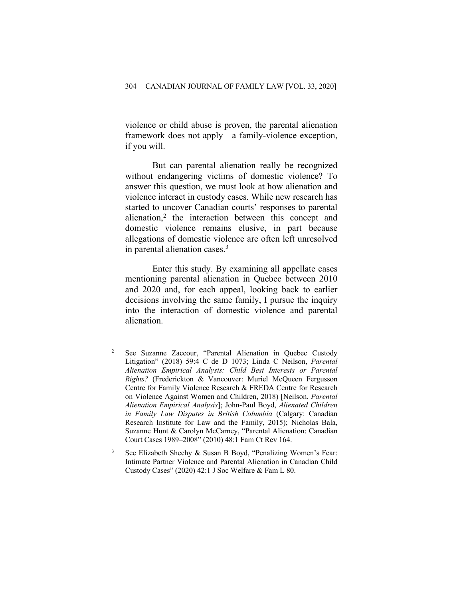violence or child abuse is proven, the parental alienation framework does not apply—a family-violence exception, if you will.

But can parental alienation really be recognized without endangering victims of domestic violence? To answer this question, we must look at how alienation and violence interact in custody cases. While new research has started to uncover Canadian courts' responses to parental alienation,<sup>2</sup> the interaction between this concept and domestic violence remains elusive, in part because allegations of domestic violence are often left unresolved in parental alienation cases.3

Enter this study. By examining all appellate cases mentioning parental alienation in Quebec between 2010 and 2020 and, for each appeal, looking back to earlier decisions involving the same family, I pursue the inquiry into the interaction of domestic violence and parental alienation.

<sup>2</sup> See Suzanne Zaccour, "Parental Alienation in Quebec Custody Litigation" (2018) 59:4 C de D 1073; Linda C Neilson, *Parental Alienation Empirical Analysis: Child Best Interests or Parental Rights?* (Frederickton & Vancouver: Muriel McQueen Fergusson Centre for Family Violence Research & FREDA Centre for Research on Violence Against Women and Children, 2018) [Neilson, *Parental Alienation Empirical Analysis*]; John-Paul Boyd, *Alienated Children in Family Law Disputes in British Columbia* (Calgary: Canadian Research Institute for Law and the Family, 2015); Nicholas Bala, Suzanne Hunt & Carolyn McCarney, "Parental Alienation: Canadian Court Cases 1989–2008" (2010) 48:1 Fam Ct Rev 164.

See Elizabeth Sheehy & Susan B Boyd, "Penalizing Women's Fear: Intimate Partner Violence and Parental Alienation in Canadian Child Custody Cases" (2020) 42:1 J Soc Welfare & Fam L 80.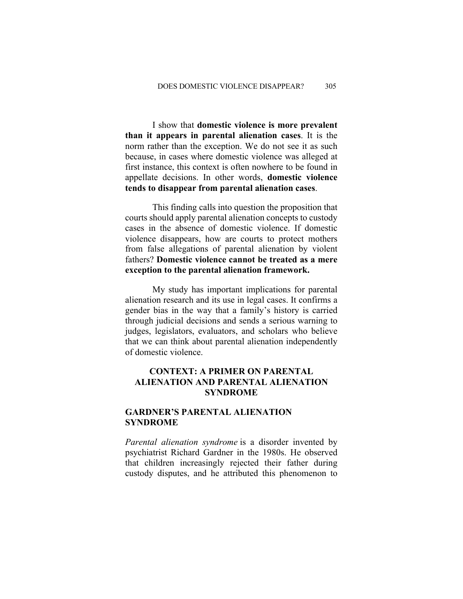I show that **domestic violence is more prevalent than it appears in parental alienation cases**. It is the norm rather than the exception. We do not see it as such because, in cases where domestic violence was alleged at first instance, this context is often nowhere to be found in appellate decisions. In other words, **domestic violence tends to disappear from parental alienation cases**.

This finding calls into question the proposition that courts should apply parental alienation concepts to custody cases in the absence of domestic violence. If domestic violence disappears, how are courts to protect mothers from false allegations of parental alienation by violent fathers? **Domestic violence cannot be treated as a mere exception to the parental alienation framework.**

My study has important implications for parental alienation research and its use in legal cases. It confirms a gender bias in the way that a family's history is carried through judicial decisions and sends a serious warning to judges, legislators, evaluators, and scholars who believe that we can think about parental alienation independently of domestic violence.

#### **CONTEXT: A PRIMER ON PARENTAL ALIENATION AND PARENTAL ALIENATION SYNDROME**

#### **GARDNER'S PARENTAL ALIENATION SYNDROME**

*Parental alienation syndrome* is a disorder invented by psychiatrist Richard Gardner in the 1980s. He observed that children increasingly rejected their father during custody disputes, and he attributed this phenomenon to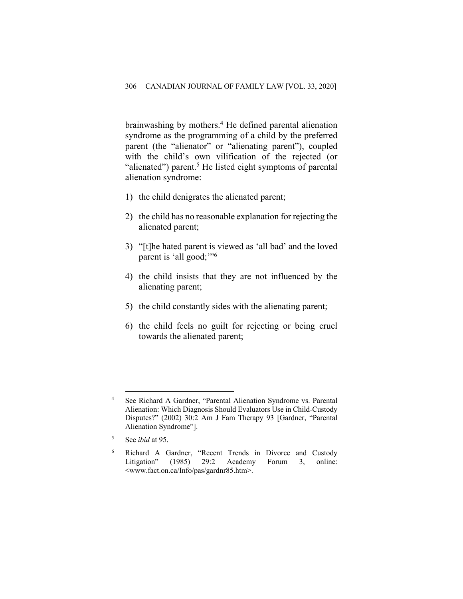brainwashing by mothers.4 He defined parental alienation syndrome as the programming of a child by the preferred parent (the "alienator" or "alienating parent"), coupled with the child's own vilification of the rejected (or "alienated") parent.<sup>5</sup> He listed eight symptoms of parental alienation syndrome:

- 1) the child denigrates the alienated parent;
- 2) the child has no reasonable explanation for rejecting the alienated parent;
- 3) "[t]he hated parent is viewed as 'all bad' and the loved parent is 'all good;"<sup>6</sup>
- 4) the child insists that they are not influenced by the alienating parent;
- 5) the child constantly sides with the alienating parent;
- 6) the child feels no guilt for rejecting or being cruel towards the alienated parent;

<sup>4</sup> See Richard A Gardner, "Parental Alienation Syndrome vs. Parental Alienation: Which Diagnosis Should Evaluators Use in Child-Custody Disputes?" (2002) 30:2 Am J Fam Therapy 93 [Gardner, "Parental Alienation Syndrome"].

<sup>5</sup> See *ibid* at 95.

<sup>6</sup> Richard A Gardner, "Recent Trends in Divorce and Custody Litigation" (1985) 29:2 Academy Forum 3, online: <www.fact.on.ca/Info/pas/gardnr85.htm>.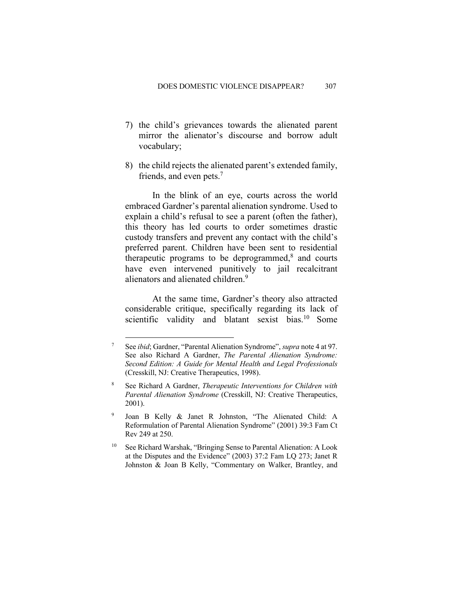- 7) the child's grievances towards the alienated parent mirror the alienator's discourse and borrow adult vocabulary;
- 8) the child rejects the alienated parent's extended family, friends, and even pets.<sup>7</sup>

In the blink of an eye, courts across the world embraced Gardner's parental alienation syndrome. Used to explain a child's refusal to see a parent (often the father), this theory has led courts to order sometimes drastic custody transfers and prevent any contact with the child's preferred parent. Children have been sent to residential therapeutic programs to be deprogrammed, $8$  and courts have even intervened punitively to jail recalcitrant alienators and alienated children.9

At the same time, Gardner's theory also attracted considerable critique, specifically regarding its lack of scientific validity and blatant sexist bias.<sup>10</sup> Some

<sup>7</sup> See *ibid*; Gardner, "Parental Alienation Syndrome", *supra* note 4 at 97. See also Richard A Gardner, *The Parental Alienation Syndrome: Second Edition: A Guide for Mental Health and Legal Professionals* (Cresskill, NJ: Creative Therapeutics, 1998).

<sup>8</sup> See Richard A Gardner, *Therapeutic Interventions for Children with Parental Alienation Syndrome* (Cresskill, NJ: Creative Therapeutics, 2001).

<sup>9</sup> Joan B Kelly & Janet R Johnston, "The Alienated Child: A Reformulation of Parental Alienation Syndrome" (2001) 39:3 Fam Ct Rev 249 at 250.

<sup>&</sup>lt;sup>10</sup> See Richard Warshak, "Bringing Sense to Parental Alienation: A Look at the Disputes and the Evidence" (2003) 37:2 Fam LQ 273; Janet R Johnston & Joan B Kelly, "Commentary on Walker, Brantley, and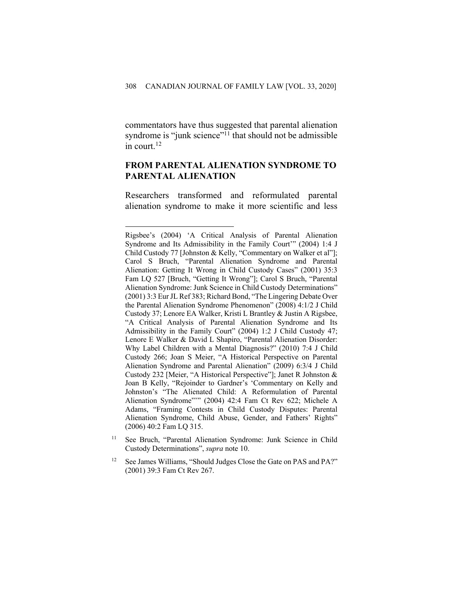commentators have thus suggested that parental alienation syndrome is "junk science"<sup>11</sup> that should not be admissible in court.12

#### **FROM PARENTAL ALIENATION SYNDROME TO PARENTAL ALIENATION**

Researchers transformed and reformulated parental alienation syndrome to make it more scientific and less

- <sup>11</sup> See Bruch, "Parental Alienation Syndrome: Junk Science in Child Custody Determinations", *supra* note 10.
- <sup>12</sup> See James Williams, "Should Judges Close the Gate on PAS and PA?" (2001) 39:3 Fam Ct Rev 267.

Rigsbee's (2004) 'A Critical Analysis of Parental Alienation Syndrome and Its Admissibility in the Family Court'" (2004) 1:4 J Child Custody 77 [Johnston & Kelly, "Commentary on Walker et al"]; Carol S Bruch, "Parental Alienation Syndrome and Parental Alienation: Getting It Wrong in Child Custody Cases" (2001) 35:3 Fam LQ 527 [Bruch, "Getting It Wrong"]; Carol S Bruch, "Parental Alienation Syndrome: Junk Science in Child Custody Determinations" (2001) 3:3 Eur JL Ref 383; Richard Bond, "The Lingering Debate Over the Parental Alienation Syndrome Phenomenon" (2008) 4:1/2 J Child Custody 37; Lenore EA Walker, Kristi L Brantley & Justin A Rigsbee, "A Critical Analysis of Parental Alienation Syndrome and Its Admissibility in the Family Court" (2004) 1:2 J Child Custody 47; Lenore E Walker & David L Shapiro, "Parental Alienation Disorder: Why Label Children with a Mental Diagnosis?" (2010) 7:4 J Child Custody 266; Joan S Meier, "A Historical Perspective on Parental Alienation Syndrome and Parental Alienation" (2009) 6:3/4 J Child Custody 232 [Meier, "A Historical Perspective"]; Janet R Johnston & Joan B Kelly, "Rejoinder to Gardner's 'Commentary on Kelly and Johnston's "The Alienated Child: A Reformulation of Parental Alienation Syndrome"'" (2004) 42:4 Fam Ct Rev 622; Michele A Adams, "Framing Contests in Child Custody Disputes: Parental Alienation Syndrome, Child Abuse, Gender, and Fathers' Rights" (2006) 40:2 Fam LQ 315.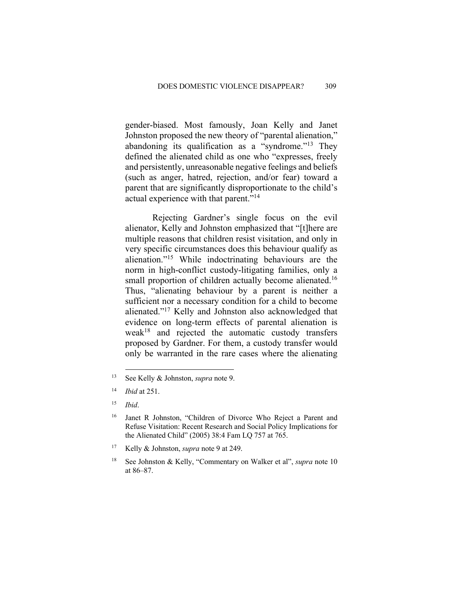gender-biased. Most famously, Joan Kelly and Janet Johnston proposed the new theory of "parental alienation," abandoning its qualification as a "syndrome."13 They defined the alienated child as one who "expresses, freely and persistently, unreasonable negative feelings and beliefs (such as anger, hatred, rejection, and/or fear) toward a parent that are significantly disproportionate to the child's actual experience with that parent."14

Rejecting Gardner's single focus on the evil alienator, Kelly and Johnston emphasized that "[t]here are multiple reasons that children resist visitation, and only in very specific circumstances does this behaviour qualify as alienation."15 While indoctrinating behaviours are the norm in high-conflict custody-litigating families, only a small proportion of children actually become alienated.<sup>16</sup> Thus, "alienating behaviour by a parent is neither a sufficient nor a necessary condition for a child to become alienated."17 Kelly and Johnston also acknowledged that evidence on long-term effects of parental alienation is weak<sup>18</sup> and rejected the automatic custody transfers proposed by Gardner. For them, a custody transfer would only be warranted in the rare cases where the alienating

<sup>13</sup> See Kelly & Johnston, *supra* note 9.

<sup>14</sup> *Ibid* at 251.

<sup>15</sup> *Ibid*.

<sup>16</sup> Janet R Johnston, "Children of Divorce Who Reject a Parent and Refuse Visitation: Recent Research and Social Policy Implications for the Alienated Child" (2005) 38:4 Fam LQ 757 at 765.

<sup>17</sup> Kelly & Johnston, *supra* note 9 at 249.

<sup>18</sup> See Johnston & Kelly, "Commentary on Walker et al", *supra* note 10 at 86–87.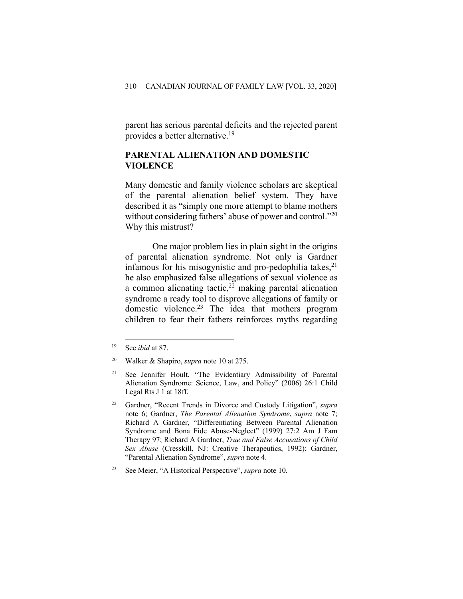parent has serious parental deficits and the rejected parent provides a better alternative.19

#### **PARENTAL ALIENATION AND DOMESTIC VIOLENCE**

Many domestic and family violence scholars are skeptical of the parental alienation belief system. They have described it as "simply one more attempt to blame mothers without considering fathers' abuse of power and control."<sup>20</sup> Why this mistrust?

One major problem lies in plain sight in the origins of parental alienation syndrome. Not only is Gardner infamous for his misogynistic and pro-pedophilia takes, 21 he also emphasized false allegations of sexual violence as a common alienating tactic, <sup>22</sup> making parental alienation syndrome a ready tool to disprove allegations of family or domestic violence. <sup>23</sup> The idea that mothers program children to fear their fathers reinforces myths regarding

<sup>19</sup> See *ibid* at 87.

<sup>20</sup> Walker & Shapiro, *supra* note 10 at 275.

<sup>21</sup> See Jennifer Hoult, "The Evidentiary Admissibility of Parental Alienation Syndrome: Science, Law, and Policy" (2006) 26:1 Child Legal Rts J 1 at 18ff.

<sup>22</sup> Gardner, "Recent Trends in Divorce and Custody Litigation", *supra* note 6; Gardner, *The Parental Alienation Syndrome*, *supra* note 7; Richard A Gardner, "Differentiating Between Parental Alienation Syndrome and Bona Fide Abuse-Neglect" (1999) 27:2 Am J Fam Therapy 97; Richard A Gardner, *True and False Accusations of Child Sex Abuse* (Cresskill, NJ: Creative Therapeutics, 1992); Gardner, "Parental Alienation Syndrome", *supra* note 4.

<sup>23</sup> See Meier, "A Historical Perspective", *supra* note 10.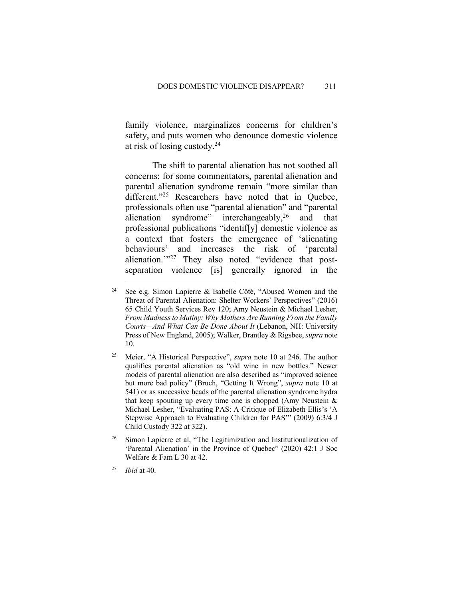family violence, marginalizes concerns for children's safety, and puts women who denounce domestic violence at risk of losing custody. 24

The shift to parental alienation has not soothed all concerns: for some commentators, parental alienation and parental alienation syndrome remain "more similar than different."<sup>25</sup> Researchers have noted that in Quebec, professionals often use "parental alienation" and "parental alienation syndrome" interchangeably,<sup>26</sup> and that professional publications "identif[y] domestic violence as a context that fosters the emergence of 'alienating behaviours' and increases the risk of 'parental alienation.'"27 They also noted "evidence that postseparation violence [is] generally ignored in the

<sup>24</sup> See e.g. Simon Lapierre & Isabelle Côté, "Abused Women and the Threat of Parental Alienation: Shelter Workers' Perspectives" (2016) 65 Child Youth Services Rev 120; Amy Neustein & Michael Lesher, *From Madness to Mutiny: Why Mothers Are Running From the Family Courts—And What Can Be Done About It* (Lebanon, NH: University Press of New England, 2005); Walker, Brantley & Rigsbee, *supra* note 10.

<sup>25</sup> Meier, "A Historical Perspective", *supra* note 10 at 246. The author qualifies parental alienation as "old wine in new bottles." Newer models of parental alienation are also described as "improved science but more bad policy" (Bruch, "Getting It Wrong", *supra* note 10 at 541) or as successive heads of the parental alienation syndrome hydra that keep spouting up every time one is chopped (Amy Neustein & Michael Lesher, "Evaluating PAS: A Critique of Elizabeth Ellis's 'A Stepwise Approach to Evaluating Children for PAS'" (2009) 6:3/4 J Child Custody 322 at 322).

<sup>&</sup>lt;sup>26</sup> Simon Lapierre et al, "The Legitimization and Institutionalization of 'Parental Alienation' in the Province of Quebec" (2020) 42:1 J Soc Welfare & Fam L 30 at 42.

<sup>27</sup> *Ibid* at 40.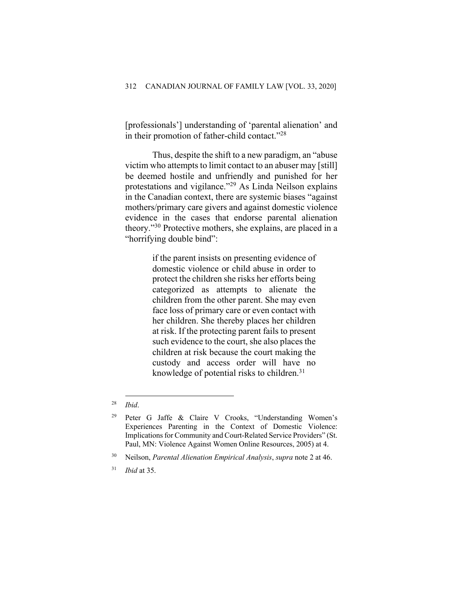[professionals'] understanding of 'parental alienation' and in their promotion of father-child contact."28

Thus, despite the shift to a new paradigm, an "abuse victim who attempts to limit contact to an abuser may [still] be deemed hostile and unfriendly and punished for her protestations and vigilance."29 As Linda Neilson explains in the Canadian context, there are systemic biases "against mothers/primary care givers and against domestic violence evidence in the cases that endorse parental alienation theory."30 Protective mothers, she explains, are placed in a "horrifying double bind":

> if the parent insists on presenting evidence of domestic violence or child abuse in order to protect the children she risks her efforts being categorized as attempts to alienate the children from the other parent. She may even face loss of primary care or even contact with her children. She thereby places her children at risk. If the protecting parent fails to present such evidence to the court, she also places the children at risk because the court making the custody and access order will have no knowledge of potential risks to children.<sup>31</sup>

<sup>28</sup> *Ibid*.

<sup>29</sup> Peter G Jaffe & Claire V Crooks, "Understanding Women's Experiences Parenting in the Context of Domestic Violence: Implications for Community and Court-Related Service Providers" (St. Paul, MN: Violence Against Women Online Resources, 2005) at 4.

<sup>30</sup> Neilson, *Parental Alienation Empirical Analysis*, *supra* note 2 at 46.

<sup>31</sup> *Ibid* at 35.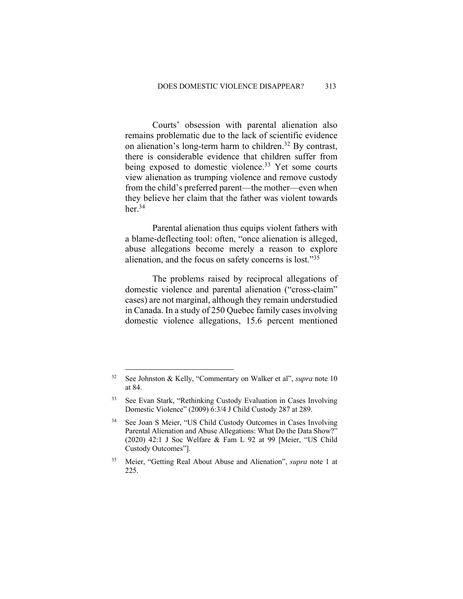Courts' obsession with parental alienation also remains problematic due to the lack of scientific evidence on alienation's long-term harm to children.32 By contrast, there is considerable evidence that children suffer from being exposed to domestic violence.<sup>33</sup> Yet some courts view alienation as trumping violence and remove custody from the child's preferred parent—the mother—even when they believe her claim that the father was violent towards her.34

Parental alienation thus equips violent fathers with a blame-deflecting tool: often, "once alienation is alleged, abuse allegations become merely a reason to explore alienation, and the focus on safety concerns is lost."35

The problems raised by reciprocal allegations of domestic violence and parental alienation ("cross-claim" cases) are not marginal, although they remain understudied in Canada. In a study of 250 Quebec family cases involving domestic violence allegations, 15.6 percent mentioned

<sup>32</sup> See Johnston & Kelly, "Commentary on Walker et al", *supra* note 10 at 84.

<sup>33</sup> See Evan Stark, "Rethinking Custody Evaluation in Cases Involving Domestic Violence" (2009) 6:3/4 J Child Custody 287 at 289.

<sup>34</sup> See Joan S Meier, "US Child Custody Outcomes in Cases Involving Parental Alienation and Abuse Allegations: What Do the Data Show?" (2020) 42:1 J Soc Welfare & Fam L 92 at 99 [Meier, "US Child Custody Outcomes"].

<sup>35</sup> Meier, "Getting Real About Abuse and Alienation", *supra* note 1 at 225.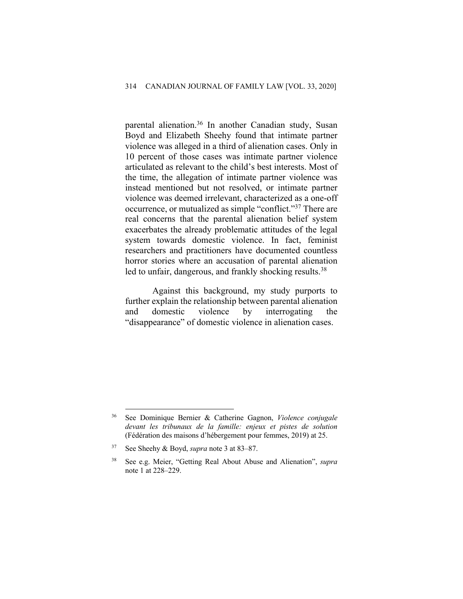parental alienation.36 In another Canadian study, Susan Boyd and Elizabeth Sheehy found that intimate partner violence was alleged in a third of alienation cases. Only in 10 percent of those cases was intimate partner violence articulated as relevant to the child's best interests. Most of the time, the allegation of intimate partner violence was instead mentioned but not resolved, or intimate partner violence was deemed irrelevant, characterized as a one-off occurrence, or mutualized as simple "conflict."37 There are real concerns that the parental alienation belief system exacerbates the already problematic attitudes of the legal system towards domestic violence. In fact, feminist researchers and practitioners have documented countless horror stories where an accusation of parental alienation led to unfair, dangerous, and frankly shocking results.<sup>38</sup>

Against this background, my study purports to further explain the relationship between parental alienation and domestic violence by interrogating the "disappearance" of domestic violence in alienation cases.

<sup>36</sup> See Dominique Bernier & Catherine Gagnon, *Violence conjugale devant les tribunaux de la famille: enjeux et pistes de solution* (Fédération des maisons d'hébergement pour femmes, 2019) at 25.

<sup>37</sup> See Sheehy & Boyd, *supra* note 3 at 83–87.

<sup>38</sup> See e.g. Meier, "Getting Real About Abuse and Alienation", *supra* note 1 at 228–229.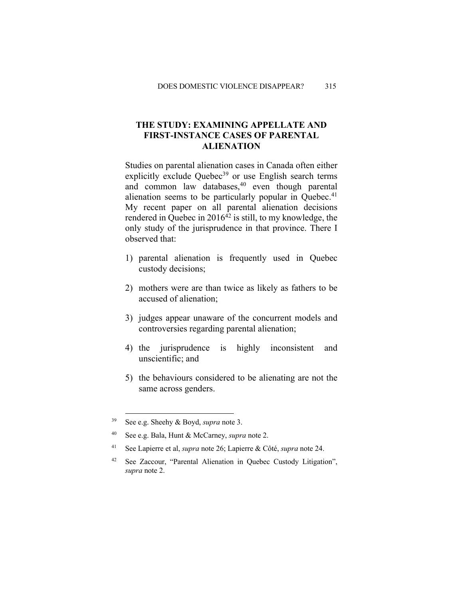## **THE STUDY: EXAMINING APPELLATE AND FIRST-INSTANCE CASES OF PARENTAL ALIENATION**

Studies on parental alienation cases in Canada often either explicitly exclude Quebec $39$  or use English search terms and common law databases, <sup>40</sup> even though parental alienation seems to be particularly popular in Quebec.<sup>41</sup> My recent paper on all parental alienation decisions rendered in Quebec in  $2016^{42}$  is still, to my knowledge, the only study of the jurisprudence in that province. There I observed that:

- 1) parental alienation is frequently used in Quebec custody decisions;
- 2) mothers were are than twice as likely as fathers to be accused of alienation;
- 3) judges appear unaware of the concurrent models and controversies regarding parental alienation;
- 4) the jurisprudence is highly inconsistent and unscientific; and
- 5) the behaviours considered to be alienating are not the same across genders.

<sup>39</sup> See e.g. Sheehy & Boyd, *supra* note 3.

<sup>40</sup> See e.g. Bala, Hunt & McCarney, *supra* note 2.

<sup>41</sup> See Lapierre et al, *supra* note 26; Lapierre & Côté, *supra* note 24.

<sup>42</sup> See Zaccour, "Parental Alienation in Quebec Custody Litigation", *supra* note 2.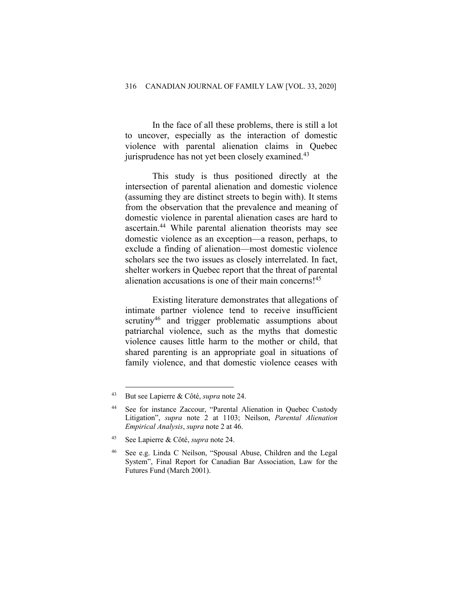In the face of all these problems, there is still a lot to uncover, especially as the interaction of domestic violence with parental alienation claims in Quebec jurisprudence has not yet been closely examined.<sup>43</sup>

This study is thus positioned directly at the intersection of parental alienation and domestic violence (assuming they are distinct streets to begin with). It stems from the observation that the prevalence and meaning of domestic violence in parental alienation cases are hard to ascertain.44 While parental alienation theorists may see domestic violence as an exception—a reason, perhaps, to exclude a finding of alienation—most domestic violence scholars see the two issues as closely interrelated. In fact, shelter workers in Quebec report that the threat of parental alienation accusations is one of their main concerns! 45

Existing literature demonstrates that allegations of intimate partner violence tend to receive insufficient scrutiny<sup>46</sup> and trigger problematic assumptions about patriarchal violence, such as the myths that domestic violence causes little harm to the mother or child, that shared parenting is an appropriate goal in situations of family violence, and that domestic violence ceases with

<sup>43</sup> But see Lapierre & Côté, *supra* note 24.

<sup>44</sup> See for instance Zaccour, "Parental Alienation in Quebec Custody Litigation", *supra* note 2 at 1103; Neilson, *Parental Alienation Empirical Analysis*, *supra* note 2 at 46.

<sup>45</sup> See Lapierre & Côté, *supra* note 24.

See e.g. Linda C Neilson, "Spousal Abuse, Children and the Legal System", Final Report for Canadian Bar Association, Law for the Futures Fund (March 2001).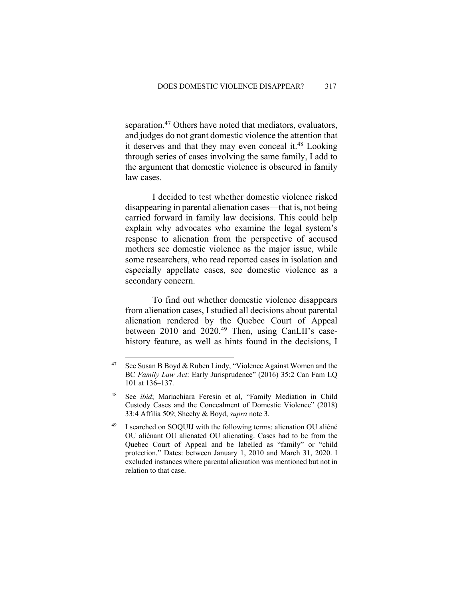separation.<sup>47</sup> Others have noted that mediators, evaluators, and judges do not grant domestic violence the attention that it deserves and that they may even conceal it.<sup>48</sup> Looking through series of cases involving the same family, I add to the argument that domestic violence is obscured in family law cases.

I decided to test whether domestic violence risked disappearing in parental alienation cases—that is, not being carried forward in family law decisions. This could help explain why advocates who examine the legal system's response to alienation from the perspective of accused mothers see domestic violence as the major issue, while some researchers, who read reported cases in isolation and especially appellate cases, see domestic violence as a secondary concern.

To find out whether domestic violence disappears from alienation cases, I studied all decisions about parental alienation rendered by the Quebec Court of Appeal between 2010 and 2020.<sup>49</sup> Then, using CanLII's casehistory feature, as well as hints found in the decisions, I

<sup>&</sup>lt;sup>47</sup> See Susan B Boyd & Ruben Lindy, "Violence Against Women and the BC *Family Law Act*: Early Jurisprudence" (2016) 35:2 Can Fam LQ 101 at 136–137.

See *ibid*; Mariachiara Feresin et al, "Family Mediation in Child Custody Cases and the Concealment of Domestic Violence" (2018) 33:4 Affilia 509; Sheehy & Boyd, *supra* note 3.

I searched on SOQUIJ with the following terms: alienation OU aliéné OU aliénant OU alienated OU alienating. Cases had to be from the Quebec Court of Appeal and be labelled as "family" or "child protection." Dates: between January 1, 2010 and March 31, 2020. I excluded instances where parental alienation was mentioned but not in relation to that case.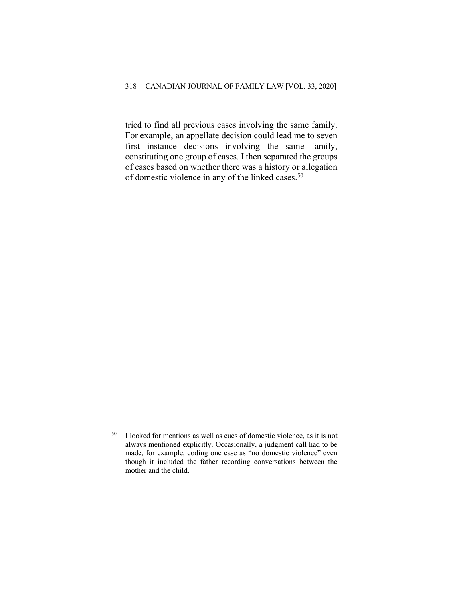tried to find all previous cases involving the same family. For example, an appellate decision could lead me to seven first instance decisions involving the same family, constituting one group of cases. I then separated the groups of cases based on whether there was a history or allegation of domestic violence in any of the linked cases.<sup>50</sup>

 $50$  I looked for mentions as well as cues of domestic violence, as it is not always mentioned explicitly. Occasionally, a judgment call had to be made, for example, coding one case as "no domestic violence" even though it included the father recording conversations between the mother and the child.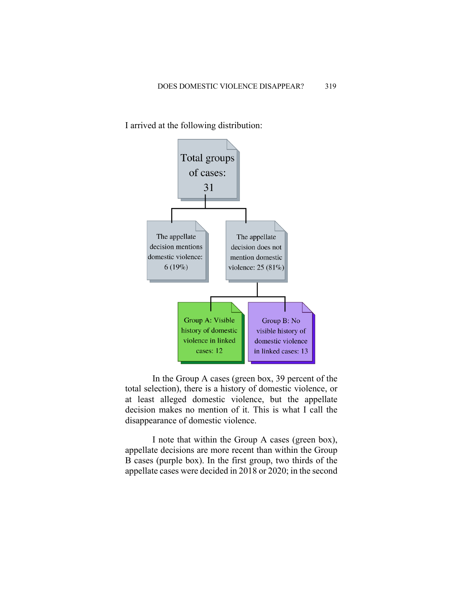I arrived at the following distribution:



In the Group A cases (green box, 39 percent of the total selection), there is a history of domestic violence, or at least alleged domestic violence, but the appellate decision makes no mention of it. This is what I call the disappearance of domestic violence.

I note that within the Group A cases (green box), appellate decisions are more recent than within the Group B cases (purple box). In the first group, two thirds of the appellate cases were decided in 2018 or 2020; in the second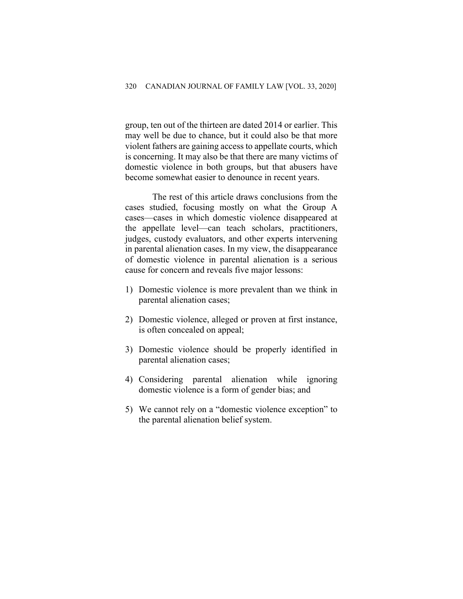group, ten out of the thirteen are dated 2014 or earlier. This may well be due to chance, but it could also be that more violent fathers are gaining access to appellate courts, which is concerning. It may also be that there are many victims of domestic violence in both groups, but that abusers have become somewhat easier to denounce in recent years.

The rest of this article draws conclusions from the cases studied, focusing mostly on what the Group A cases—cases in which domestic violence disappeared at the appellate level—can teach scholars, practitioners, judges, custody evaluators, and other experts intervening in parental alienation cases. In my view, the disappearance of domestic violence in parental alienation is a serious cause for concern and reveals five major lessons:

- 1) Domestic violence is more prevalent than we think in parental alienation cases;
- 2) Domestic violence, alleged or proven at first instance, is often concealed on appeal;
- 3) Domestic violence should be properly identified in parental alienation cases;
- 4) Considering parental alienation while ignoring domestic violence is a form of gender bias; and
- 5) We cannot rely on a "domestic violence exception" to the parental alienation belief system.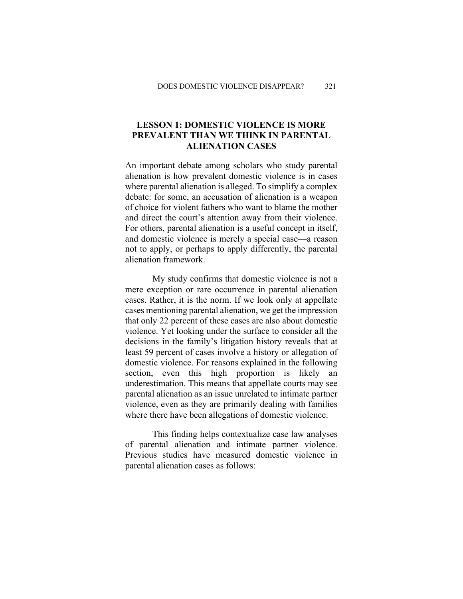## **LESSON 1: DOMESTIC VIOLENCE IS MORE PREVALENT THAN WE THINK IN PARENTAL ALIENATION CASES**

An important debate among scholars who study parental alienation is how prevalent domestic violence is in cases where parental alienation is alleged. To simplify a complex debate: for some, an accusation of alienation is a weapon of choice for violent fathers who want to blame the mother and direct the court's attention away from their violence. For others, parental alienation is a useful concept in itself, and domestic violence is merely a special case—a reason not to apply, or perhaps to apply differently, the parental alienation framework.

My study confirms that domestic violence is not a mere exception or rare occurrence in parental alienation cases. Rather, it is the norm. If we look only at appellate cases mentioning parental alienation, we get the impression that only 22 percent of these cases are also about domestic violence. Yet looking under the surface to consider all the decisions in the family's litigation history reveals that at least 59 percent of cases involve a history or allegation of domestic violence. For reasons explained in the following section, even this high proportion is likely an underestimation. This means that appellate courts may see parental alienation as an issue unrelated to intimate partner violence, even as they are primarily dealing with families where there have been allegations of domestic violence.

This finding helps contextualize case law analyses of parental alienation and intimate partner violence. Previous studies have measured domestic violence in parental alienation cases as follows: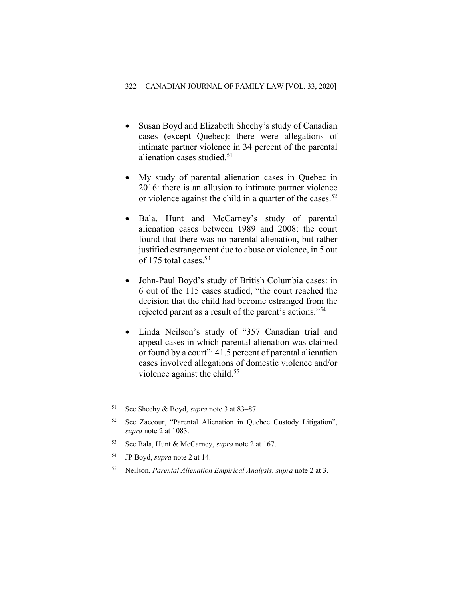- Susan Boyd and Elizabeth Sheehy's study of Canadian cases (except Quebec): there were allegations of intimate partner violence in 34 percent of the parental alienation cases studied.<sup>51</sup>
- My study of parental alienation cases in Quebec in 2016: there is an allusion to intimate partner violence or violence against the child in a quarter of the cases.<sup>52</sup>
- Bala, Hunt and McCarney's study of parental alienation cases between 1989 and 2008: the court found that there was no parental alienation, but rather justified estrangement due to abuse or violence, in 5 out of 175 total cases.53
- John-Paul Boyd's study of British Columbia cases: in 6 out of the 115 cases studied, "the court reached the decision that the child had become estranged from the rejected parent as a result of the parent's actions."54
- Linda Neilson's study of "357 Canadian trial and appeal cases in which parental alienation was claimed or found by a court": 41.5 percent of parental alienation cases involved allegations of domestic violence and/or violence against the child.<sup>55</sup>

- <sup>53</sup> See Bala, Hunt & McCarney, *supra* note 2 at 167.
- <sup>54</sup> JP Boyd, *supra* note 2 at 14.
- <sup>55</sup> Neilson, *Parental Alienation Empirical Analysis*, *supra* note 2 at 3.

<sup>51</sup> See Sheehy & Boyd, *supra* note 3 at 83–87.

<sup>52</sup> See Zaccour, "Parental Alienation in Quebec Custody Litigation", *supra* note 2 at 1083.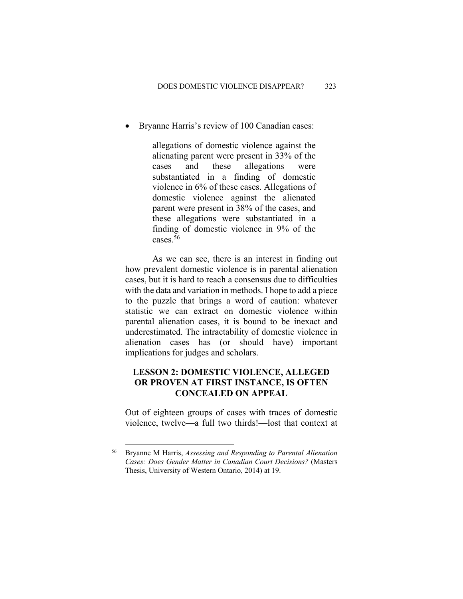• Bryanne Harris's review of 100 Canadian cases:

allegations of domestic violence against the alienating parent were present in 33% of the cases and these allegations were substantiated in a finding of domestic violence in 6% of these cases. Allegations of domestic violence against the alienated parent were present in 38% of the cases, and these allegations were substantiated in a finding of domestic violence in 9% of the cases.56

As we can see, there is an interest in finding out how prevalent domestic violence is in parental alienation cases, but it is hard to reach a consensus due to difficulties with the data and variation in methods. I hope to add a piece to the puzzle that brings a word of caution: whatever statistic we can extract on domestic violence within parental alienation cases, it is bound to be inexact and underestimated. The intractability of domestic violence in alienation cases has (or should have) important implications for judges and scholars.

## **LESSON 2: DOMESTIC VIOLENCE, ALLEGED OR PROVEN AT FIRST INSTANCE, IS OFTEN CONCEALED ON APPEAL**

Out of eighteen groups of cases with traces of domestic violence, twelve—a full two thirds!—lost that context at

<sup>56</sup> Bryanne M Harris, *Assessing and Responding to Parental Alienation Cases: Does Gender Matter in Canadian Court Decisions?* (Masters Thesis, University of Western Ontario, 2014) at 19.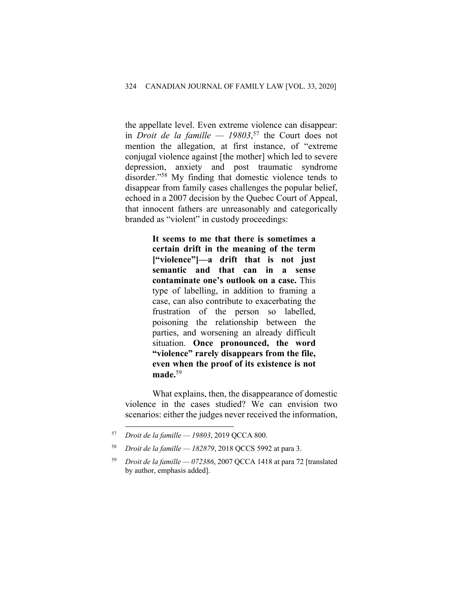the appellate level. Even extreme violence can disappear: in *Droit de la famille — 19803*, <sup>57</sup> the Court does not mention the allegation, at first instance, of "extreme conjugal violence against [the mother] which led to severe depression, anxiety and post traumatic syndrome disorder."58 My finding that domestic violence tends to disappear from family cases challenges the popular belief, echoed in a 2007 decision by the Quebec Court of Appeal, that innocent fathers are unreasonably and categorically branded as "violent" in custody proceedings:

> **It seems to me that there is sometimes a certain drift in the meaning of the term ["violence"]—a drift that is not just semantic and that can in a sense contaminate one's outlook on a case.** This type of labelling, in addition to framing a case, can also contribute to exacerbating the frustration of the person so labelled, poisoning the relationship between the parties, and worsening an already difficult situation. **Once pronounced, the word "violence" rarely disappears from the file, even when the proof of its existence is not made.**<sup>59</sup>

What explains, then, the disappearance of domestic violence in the cases studied? We can envision two scenarios: either the judges never received the information,

<sup>57</sup> *Droit de la famille — 19803*, 2019 QCCA 800.

<sup>58</sup> *Droit de la famille — 182879*, 2018 QCCS 5992 at para 3.

<sup>59</sup> *Droit de la famille — 072386*, 2007 QCCA 1418 at para 72 [translated by author, emphasis added].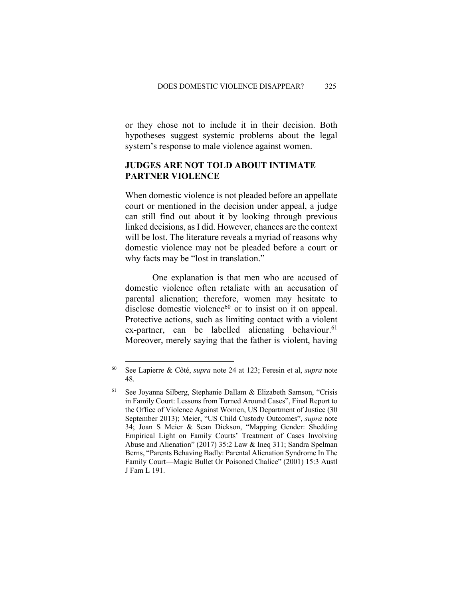or they chose not to include it in their decision. Both hypotheses suggest systemic problems about the legal system's response to male violence against women.

#### **JUDGES ARE NOT TOLD ABOUT INTIMATE PARTNER VIOLENCE**

When domestic violence is not pleaded before an appellate court or mentioned in the decision under appeal, a judge can still find out about it by looking through previous linked decisions, as I did. However, chances are the context will be lost. The literature reveals a myriad of reasons why domestic violence may not be pleaded before a court or why facts may be "lost in translation."

One explanation is that men who are accused of domestic violence often retaliate with an accusation of parental alienation; therefore, women may hesitate to disclose domestic violence $60$  or to insist on it on appeal. Protective actions, such as limiting contact with a violent  $ex$ -partner, can be labelled alienating behaviour.<sup>61</sup> Moreover, merely saying that the father is violent, having

<sup>60</sup> See Lapierre & Côté, *supra* note 24 at 123; Feresin et al, *supra* note 48.

<sup>61</sup> See Joyanna Silberg, Stephanie Dallam & Elizabeth Samson, "Crisis in Family Court: Lessons from Turned Around Cases", Final Report to the Office of Violence Against Women, US Department of Justice (30 September 2013); Meier, "US Child Custody Outcomes", *supra* note 34; Joan S Meier & Sean Dickson, "Mapping Gender: Shedding Empirical Light on Family Courts' Treatment of Cases Involving Abuse and Alienation" (2017) 35:2 Law & Ineq 311; Sandra Spelman Berns, "Parents Behaving Badly: Parental Alienation Syndrome In The Family Court—Magic Bullet Or Poisoned Chalice" (2001) 15:3 Austl J Fam L 191.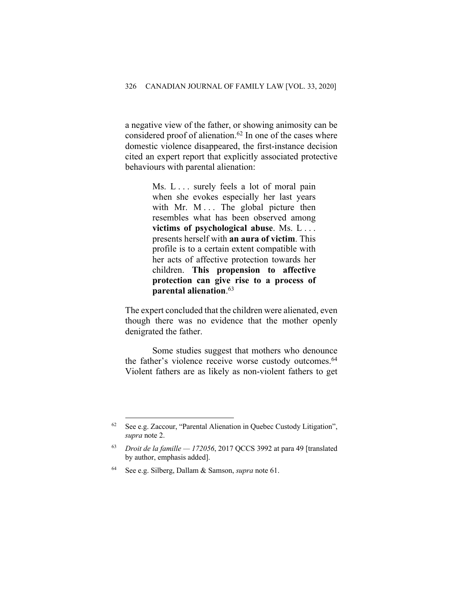a negative view of the father, or showing animosity can be considered proof of alienation.<sup>62</sup> In one of the cases where domestic violence disappeared, the first-instance decision cited an expert report that explicitly associated protective behaviours with parental alienation:

> Ms. L... surely feels a lot of moral pain when she evokes especially her last years with Mr. M ... The global picture then resembles what has been observed among **victims of psychological abuse**. Ms. L . . . presents herself with **an aura of victim**. This profile is to a certain extent compatible with her acts of affective protection towards her children. **This propension to affective protection can give rise to a process of parental alienation**. 63

The expert concluded that the children were alienated, even though there was no evidence that the mother openly denigrated the father.

Some studies suggest that mothers who denounce the father's violence receive worse custody outcomes.<sup>64</sup> Violent fathers are as likely as non-violent fathers to get

<sup>62</sup> See e.g. Zaccour, "Parental Alienation in Quebec Custody Litigation", *supra* note 2.

<sup>63</sup> *Droit de la famille — 172056*, 2017 QCCS 3992 at para 49 [translated by author, emphasis added].

See e.g. Silberg, Dallam & Samson, *supra* note 61.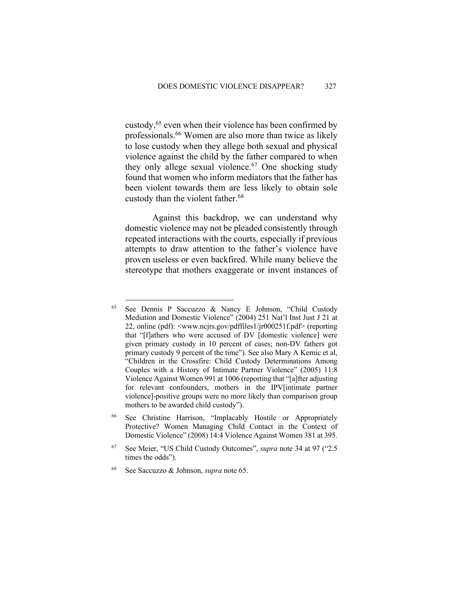custody,<sup>65</sup> even when their violence has been confirmed by professionals.66 Women are also more than twice as likely to lose custody when they allege both sexual and physical violence against the child by the father compared to when they only allege sexual violence. $67$  One shocking study found that women who inform mediators that the father has been violent towards them are less likely to obtain sole custody than the violent father. 68

Against this backdrop, we can understand why domestic violence may not be pleaded consistently through repeated interactions with the courts, especially if previous attempts to draw attention to the father's violence have proven useless or even backfired. While many believe the stereotype that mothers exaggerate or invent instances of

<sup>65</sup> See Dennis P Saccuzzo & Nancy E Johnson, "Child Custody Mediation and Domestic Violence" (2004) 251 Nat'l Inst Just J 21 at 22, online (pdf): <www.ncjrs.gov/pdffiles1/jr000251f.pdf> (reporting that "[f]athers who were accused of DV [domestic violence] were given primary custody in 10 percent of cases; non-DV fathers got primary custody 9 percent of the time"). See also Mary A Kernic et al, "Children in the Crossfire: Child Custody Determinations Among Couples with a History of Intimate Partner Violence" (2005) 11:8 Violence Against Women 991 at 1006 (reporting that "[a]fter adjusting for relevant confounders, mothers in the IPV[intimate partner violence]-positive groups were no more likely than comparison group mothers to be awarded child custody").

<sup>66</sup> See Christine Harrison, "Implacably Hostile or Appropriately Protective? Women Managing Child Contact in the Context of Domestic Violence" (2008) 14:4 Violence Against Women 381 at 395.

<sup>67</sup> See Meier, "US Child Custody Outcomes", *supra* note 34 at 97 ("2.5 times the odds").

<sup>68</sup> See Saccuzzo & Johnson, *supra* note 65.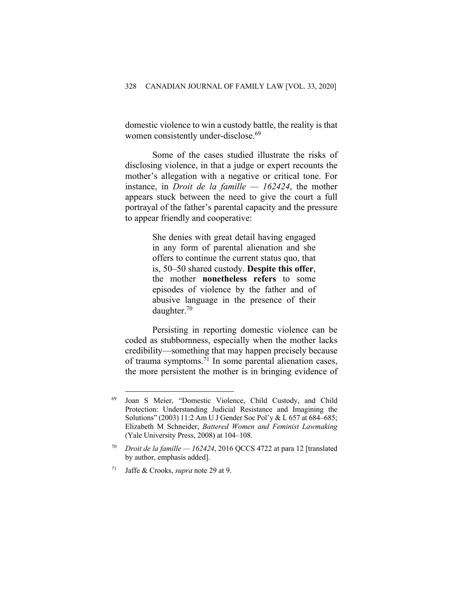domestic violence to win a custody battle, the reality is that women consistently under-disclose.<sup>69</sup>

Some of the cases studied illustrate the risks of disclosing violence, in that a judge or expert recounts the mother's allegation with a negative or critical tone. For instance, in *Droit de la famille — 162424*, the mother appears stuck between the need to give the court a full portrayal of the father's parental capacity and the pressure to appear friendly and cooperative:

> She denies with great detail having engaged in any form of parental alienation and she offers to continue the current status quo, that is, 50–50 shared custody. **Despite this offer**, the mother **nonetheless refers** to some episodes of violence by the father and of abusive language in the presence of their daughter.70

Persisting in reporting domestic violence can be coded as stubbornness, especially when the mother lacks credibility—something that may happen precisely because of trauma symptoms.<sup>71</sup> In some parental alienation cases, the more persistent the mother is in bringing evidence of

<sup>69</sup> Joan S Meier, "Domestic Violence, Child Custody, and Child Protection: Understanding Judicial Resistance and Imagining the Solutions" (2003) 11:2 Am U J Gender Soc Pol'y & L 657 at 684–685; Elizabeth M Schneider, *Battered Women and Feminist Lawmaking* (Yale University Press, 2008) at 104–108.

<sup>70</sup> *Droit de la famille — 162424*, 2016 QCCS 4722 at para 12 [translated by author, emphasis added].

<sup>71</sup> Jaffe & Crooks, *supra* note 29 at 9.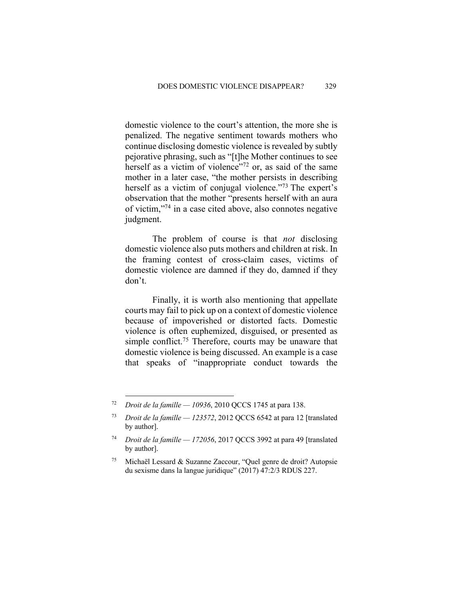domestic violence to the court's attention, the more she is penalized. The negative sentiment towards mothers who continue disclosing domestic violence is revealed by subtly pejorative phrasing, such as "[t]he Mother continues to see herself as a victim of violence"<sup>72</sup> or, as said of the same mother in a later case, "the mother persists in describing herself as a victim of conjugal violence."<sup>73</sup> The expert's observation that the mother "presents herself with an aura of victim,"74 in a case cited above, also connotes negative judgment.

The problem of course is that *not* disclosing domestic violence also puts mothers and children at risk. In the framing contest of cross-claim cases, victims of domestic violence are damned if they do, damned if they don't.

Finally, it is worth also mentioning that appellate courts may fail to pick up on a context of domestic violence because of impoverished or distorted facts. Domestic violence is often euphemized, disguised, or presented as simple conflict.<sup>75</sup> Therefore, courts may be unaware that domestic violence is being discussed. An example is a case that speaks of "inappropriate conduct towards the

<sup>72</sup> *Droit de la famille — 10936*, 2010 QCCS 1745 at para 138.

<sup>73</sup> *Droit de la famille — 123572*, 2012 QCCS 6542 at para 12 [translated by author].

<sup>74</sup> *Droit de la famille — 172056*, 2017 QCCS 3992 at para 49 [translated by author].

<sup>75</sup> Michaël Lessard & Suzanne Zaccour, "Quel genre de droit? Autopsie du sexisme dans la langue juridique" (2017) 47:2/3 RDUS 227.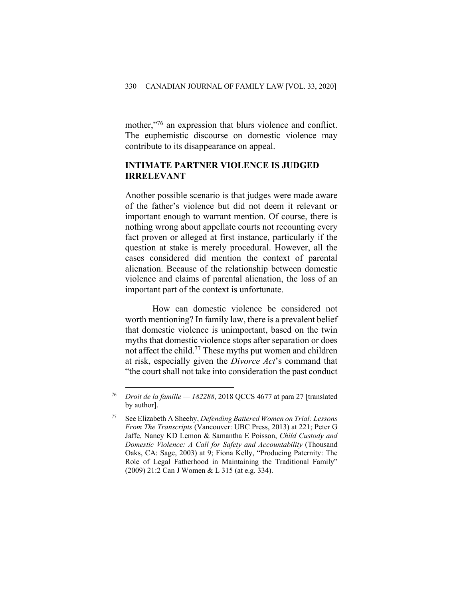mother,"<sup>76</sup> an expression that blurs violence and conflict. The euphemistic discourse on domestic violence may contribute to its disappearance on appeal.

#### **INTIMATE PARTNER VIOLENCE IS JUDGED IRRELEVANT**

Another possible scenario is that judges were made aware of the father's violence but did not deem it relevant or important enough to warrant mention. Of course, there is nothing wrong about appellate courts not recounting every fact proven or alleged at first instance, particularly if the question at stake is merely procedural. However, all the cases considered did mention the context of parental alienation. Because of the relationship between domestic violence and claims of parental alienation, the loss of an important part of the context is unfortunate.

How can domestic violence be considered not worth mentioning? In family law, there is a prevalent belief that domestic violence is unimportant, based on the twin myths that domestic violence stops after separation or does not affect the child.<sup>77</sup> These myths put women and children at risk, especially given the *Divorce Act*'s command that "the court shall not take into consideration the past conduct

<sup>76</sup> *Droit de la famille — 182288*, 2018 QCCS 4677 at para 27 [translated by author].

<sup>77</sup> See Elizabeth A Sheehy, *Defending Battered Women on Trial: Lessons From The Transcripts* (Vancouver: UBC Press, 2013) at 221; Peter G Jaffe, Nancy KD Lemon & Samantha E Poisson, *Child Custody and Domestic Violence: A Call for Safety and Accountability* (Thousand Oaks, CA: Sage, 2003) at 9; Fiona Kelly, "Producing Paternity: The Role of Legal Fatherhood in Maintaining the Traditional Family" (2009) 21:2 Can J Women & L 315 (at e.g. 334).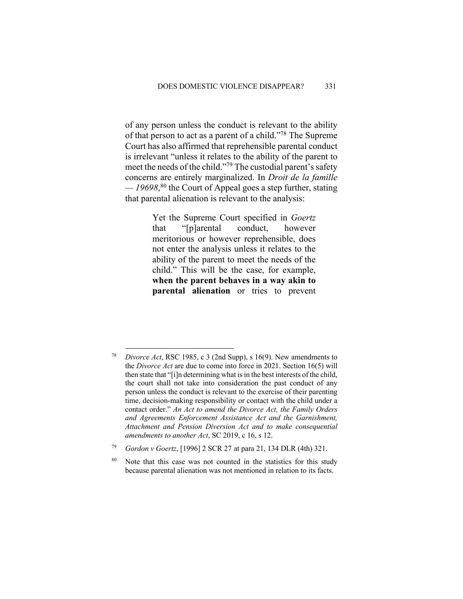of any person unless the conduct is relevant to the ability of that person to act as a parent of a child."78 The Supreme Court has also affirmed that reprehensible parental conduct is irrelevant "unless it relates to the ability of the parent to meet the needs of the child."79 The custodial parent's safety concerns are entirely marginalized. In *Droit de la famille — 19698*, <sup>80</sup> the Court of Appeal goes a step further, stating that parental alienation is relevant to the analysis:

> Yet the Supreme Court specified in *Goertz* that "[p]arental conduct, however meritorious or however reprehensible, does not enter the analysis unless it relates to the ability of the parent to meet the needs of the child." This will be the case, for example, **when the parent behaves in a way akin to parental alienation** or tries to prevent

*Divorce Act*, RSC 1985, c 3 (2nd Supp), s 16(9). New amendments to the *Divorce Act* are due to come into force in 2021. Section 16(5) will then state that "[i]n determining what is in the best interests of the child, the court shall not take into consideration the past conduct of any person unless the conduct is relevant to the exercise of their parenting time, decision-making responsibility or contact with the child under a contact order." *An Act to amend the Divorce Act, the Family Orders and Agreements Enforcement Assistance Act and the Garnishment, Attachment and Pension Diversion Act and to make consequential amendments to another Act*, SC 2019, c 16, s 12.

<sup>79</sup> *Gordon v Goertz*, [1996] 2 SCR 27 at para 21, 134 DLR (4th) 321.

<sup>&</sup>lt;sup>80</sup> Note that this case was not counted in the statistics for this study because parental alienation was not mentioned in relation to its facts.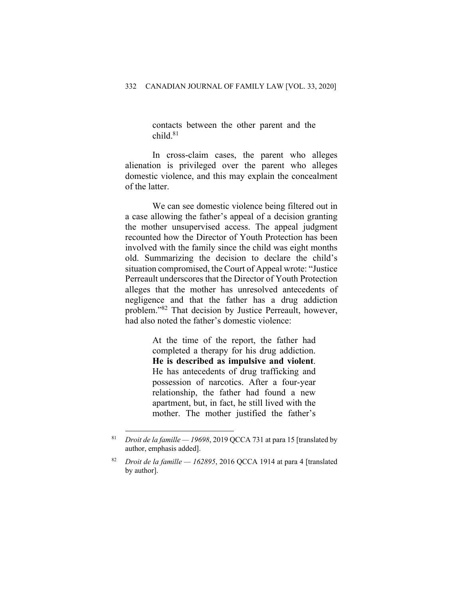contacts between the other parent and the child.81

In cross-claim cases, the parent who alleges alienation is privileged over the parent who alleges domestic violence, and this may explain the concealment of the latter.

We can see domestic violence being filtered out in a case allowing the father's appeal of a decision granting the mother unsupervised access. The appeal judgment recounted how the Director of Youth Protection has been involved with the family since the child was eight months old. Summarizing the decision to declare the child's situation compromised, the Court of Appeal wrote: "Justice Perreault underscores that the Director of Youth Protection alleges that the mother has unresolved antecedents of negligence and that the father has a drug addiction problem."82 That decision by Justice Perreault, however, had also noted the father's domestic violence:

> At the time of the report, the father had completed a therapy for his drug addiction. **He is described as impulsive and violent**. He has antecedents of drug trafficking and possession of narcotics. After a four-year relationship, the father had found a new apartment, but, in fact, he still lived with the mother. The mother justified the father's

<sup>81</sup> *Droit de la famille — 19698*, 2019 QCCA 731 at para 15 [translated by author, emphasis added].

<sup>82</sup> *Droit de la famille — 162895*, 2016 QCCA 1914 at para 4 [translated by author].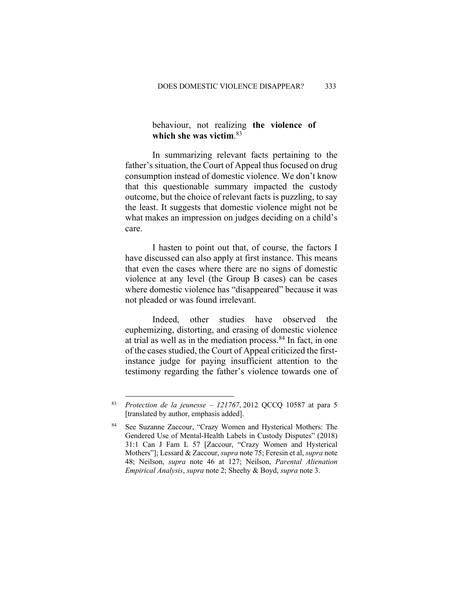behaviour, not realizing **the violence of which she was victim**. 83

In summarizing relevant facts pertaining to the father's situation, the Court of Appeal thus focused on drug consumption instead of domestic violence. We don't know that this questionable summary impacted the custody outcome, but the choice of relevant facts is puzzling, to say the least. It suggests that domestic violence might not be what makes an impression on judges deciding on a child's care.

I hasten to point out that, of course, the factors I have discussed can also apply at first instance. This means that even the cases where there are no signs of domestic violence at any level (the Group B cases) can be cases where domestic violence has "disappeared" because it was not pleaded or was found irrelevant.

Indeed, other studies have observed the euphemizing, distorting, and erasing of domestic violence at trial as well as in the mediation process.84 In fact, in one of the cases studied, the Court of Appeal criticized the firstinstance judge for paying insufficient attention to the testimony regarding the father's violence towards one of

<sup>83</sup> *Protection de la jeunesse – 121767*, 2012 QCCQ 10587 at para 5 [translated by author, emphasis added].

See Suzanne Zaccour, "Crazy Women and Hysterical Mothers: The Gendered Use of Mental-Health Labels in Custody Disputes" (2018) 31:1 Can J Fam L 57 [Zaccour, "Crazy Women and Hysterical Mothers"]; Lessard & Zaccour, *supra* note 75; Feresin et al, *supra* note 48; Neilson, *supra* note 46 at 127; Neilson, *Parental Alienation Empirical Analysis*, *supra* note 2; Sheehy & Boyd, *supra* note 3.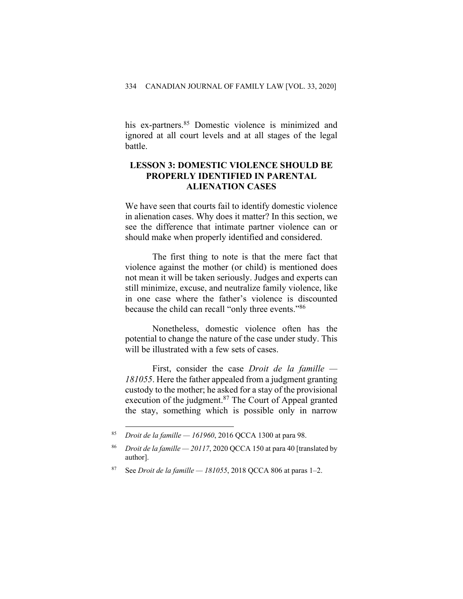his ex-partners. <sup>85</sup> Domestic violence is minimized and ignored at all court levels and at all stages of the legal battle.

#### **LESSON 3: DOMESTIC VIOLENCE SHOULD BE PROPERLY IDENTIFIED IN PARENTAL ALIENATION CASES**

We have seen that courts fail to identify domestic violence in alienation cases. Why does it matter? In this section, we see the difference that intimate partner violence can or should make when properly identified and considered.

The first thing to note is that the mere fact that violence against the mother (or child) is mentioned does not mean it will be taken seriously. Judges and experts can still minimize, excuse, and neutralize family violence, like in one case where the father's violence is discounted because the child can recall "only three events."86

Nonetheless, domestic violence often has the potential to change the nature of the case under study. This will be illustrated with a few sets of cases.

First, consider the case *Droit de la famille — 181055*. Here the father appealed from a judgment granting custody to the mother; he asked for a stay of the provisional execution of the judgment.<sup>87</sup> The Court of Appeal granted the stay, something which is possible only in narrow

<sup>85</sup> *Droit de la famille — 161960*, 2016 QCCA 1300 at para 98.

<sup>86</sup> *Droit de la famille — 20117*, 2020 QCCA 150 at para 40 [translated by author].

<sup>87</sup> See *Droit de la famille — 181055*, 2018 QCCA 806 at paras 1–2.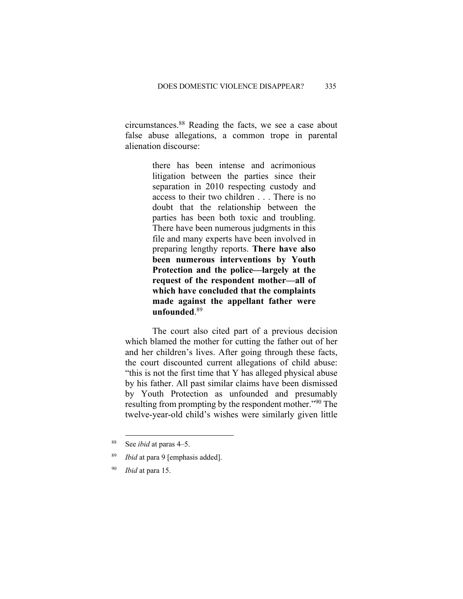circumstances.88 Reading the facts, we see a case about false abuse allegations, a common trope in parental alienation discourse:

> there has been intense and acrimonious litigation between the parties since their separation in 2010 respecting custody and access to their two children . . . There is no doubt that the relationship between the parties has been both toxic and troubling. There have been numerous judgments in this file and many experts have been involved in preparing lengthy reports. **There have also been numerous interventions by Youth Protection and the police—largely at the request of the respondent mother—all of which have concluded that the complaints made against the appellant father were unfounded**. 89

The court also cited part of a previous decision which blamed the mother for cutting the father out of her and her children's lives. After going through these facts, the court discounted current allegations of child abuse: "this is not the first time that Y has alleged physical abuse by his father. All past similar claims have been dismissed by Youth Protection as unfounded and presumably resulting from prompting by the respondent mother."90 The twelve-year-old child's wishes were similarly given little

<sup>88</sup> See *ibid* at paras 4–5.

<sup>89</sup> *Ibid* at para 9 [emphasis added].

<sup>90</sup> *Ibid* at para 15.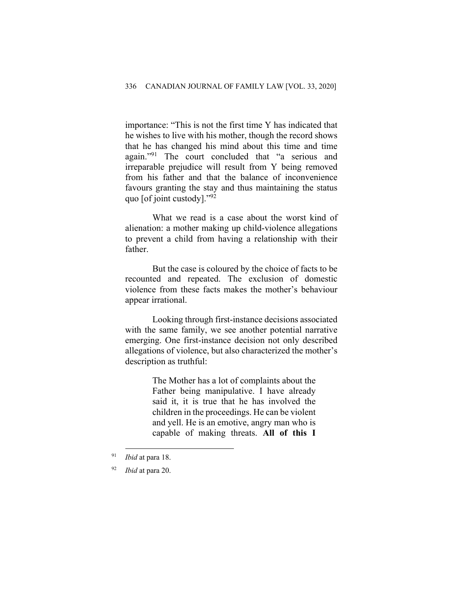importance: "This is not the first time Y has indicated that he wishes to live with his mother, though the record shows that he has changed his mind about this time and time again."91 The court concluded that "a serious and irreparable prejudice will result from Y being removed from his father and that the balance of inconvenience favours granting the stay and thus maintaining the status quo [of joint custody]."92

What we read is a case about the worst kind of alienation: a mother making up child-violence allegations to prevent a child from having a relationship with their father.

But the case is coloured by the choice of facts to be recounted and repeated. The exclusion of domestic violence from these facts makes the mother's behaviour appear irrational.

Looking through first-instance decisions associated with the same family, we see another potential narrative emerging. One first-instance decision not only described allegations of violence, but also characterized the mother's description as truthful:

> The Mother has a lot of complaints about the Father being manipulative. I have already said it, it is true that he has involved the children in the proceedings. He can be violent and yell. He is an emotive, angry man who is capable of making threats. **All of this I**

<sup>91</sup> *Ibid* at para 18.

<sup>92</sup> *Ibid* at para 20.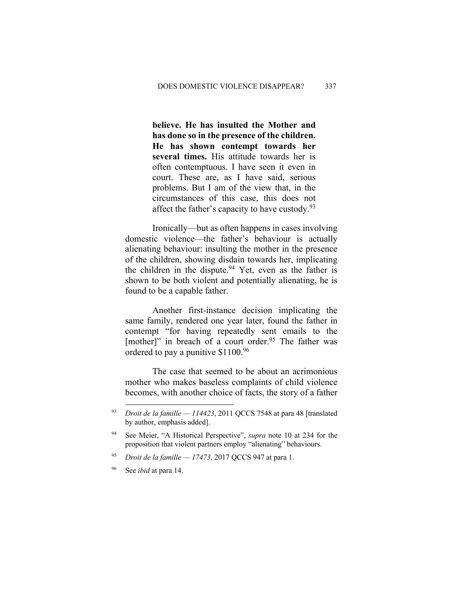**believe. He has insulted the Mother and has done so in the presence of the children. He has shown contempt towards her several times.** His attitude towards her is often contemptuous. I have seen it even in court. These are, as I have said, serious problems. But I am of the view that, in the circumstances of this case, this does not affect the father's capacity to have custody.<sup>93</sup>

Ironically—but as often happens in cases involving domestic violence—the father's behaviour is actually alienating behaviour: insulting the mother in the presence of the children, showing disdain towards her, implicating the children in the dispute.<sup>94</sup> Yet, even as the father is shown to be both violent and potentially alienating, he is found to be a capable father.

Another first-instance decision implicating the same family, rendered one year later, found the father in contempt "for having repeatedly sent emails to the [mother]" in breach of a court order.<sup>95</sup> The father was ordered to pay a punitive \$1100.96

The case that seemed to be about an acrimonious mother who makes baseless complaints of child violence becomes, with another choice of facts, the story of a father

<sup>96</sup> See *ibid* at para 14.

<sup>93</sup> *Droit de la famille — 114423*, 2011 QCCS 7548 at para 48 [translated by author, emphasis added].

<sup>94</sup> See Meier, "A Historical Perspective", *supra* note 10 at 234 for the proposition that violent partners employ "alienating" behaviours.

<sup>95</sup> *Droit de la famille — 17473*, 2017 QCCS 947 at para 1.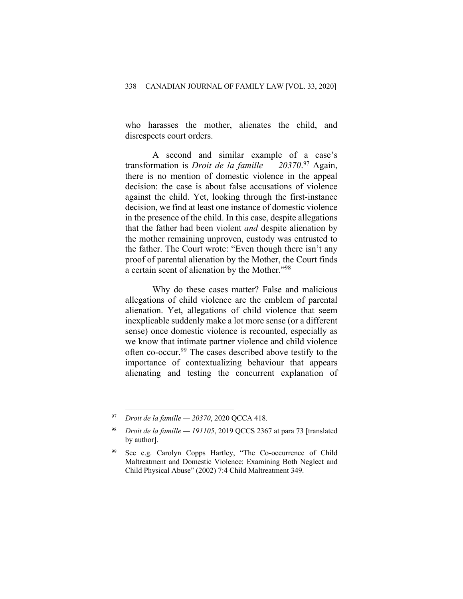who harasses the mother, alienates the child, and disrespects court orders.

A second and similar example of a case's transformation is *Droit de la famille — 20370*. <sup>97</sup> Again, there is no mention of domestic violence in the appeal decision: the case is about false accusations of violence against the child. Yet, looking through the first-instance decision, we find at least one instance of domestic violence in the presence of the child. In this case, despite allegations that the father had been violent *and* despite alienation by the mother remaining unproven, custody was entrusted to the father. The Court wrote: "Even though there isn't any proof of parental alienation by the Mother, the Court finds a certain scent of alienation by the Mother."98

Why do these cases matter? False and malicious allegations of child violence are the emblem of parental alienation. Yet, allegations of child violence that seem inexplicable suddenly make a lot more sense (or a different sense) once domestic violence is recounted, especially as we know that intimate partner violence and child violence often co-occur. <sup>99</sup> The cases described above testify to the importance of contextualizing behaviour that appears alienating and testing the concurrent explanation of

<sup>97</sup> *Droit de la famille — 20370*, 2020 QCCA 418.

<sup>98</sup> *Droit de la famille — 191105*, 2019 QCCS 2367 at para 73 [translated by author].

See e.g. Carolyn Copps Hartley, "The Co-occurrence of Child Maltreatment and Domestic Violence: Examining Both Neglect and Child Physical Abuse" (2002) 7:4 Child Maltreatment 349.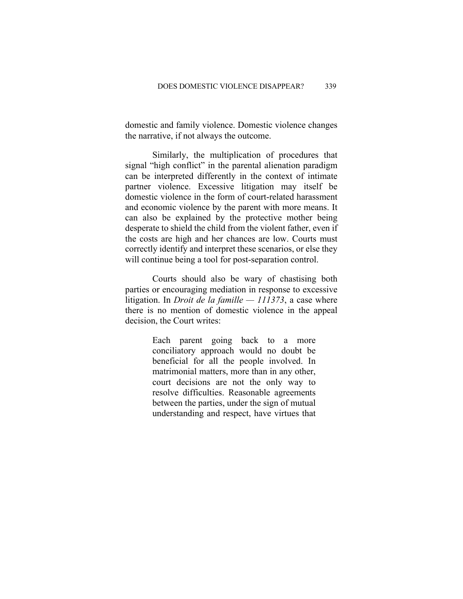domestic and family violence. Domestic violence changes the narrative, if not always the outcome.

Similarly, the multiplication of procedures that signal "high conflict" in the parental alienation paradigm can be interpreted differently in the context of intimate partner violence. Excessive litigation may itself be domestic violence in the form of court-related harassment and economic violence by the parent with more means. It can also be explained by the protective mother being desperate to shield the child from the violent father, even if the costs are high and her chances are low. Courts must correctly identify and interpret these scenarios, or else they will continue being a tool for post-separation control.

Courts should also be wary of chastising both parties or encouraging mediation in response to excessive litigation. In *Droit de la famille — 111373*, a case where there is no mention of domestic violence in the appeal decision, the Court writes:

> Each parent going back to a more conciliatory approach would no doubt be beneficial for all the people involved. In matrimonial matters, more than in any other, court decisions are not the only way to resolve difficulties. Reasonable agreements between the parties, under the sign of mutual understanding and respect, have virtues that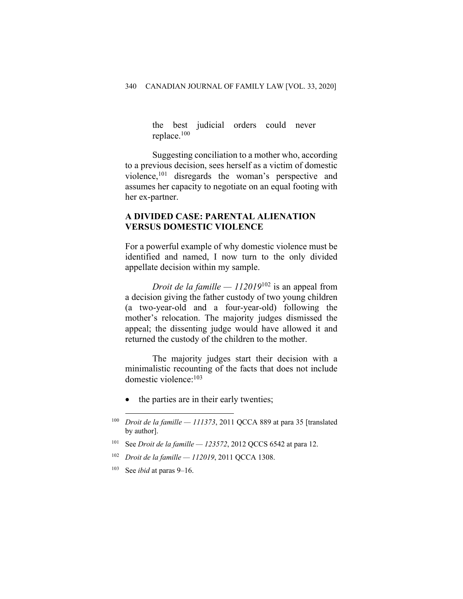the best judicial orders could never replace. 100

Suggesting conciliation to a mother who, according to a previous decision, sees herself as a victim of domestic violence, <sup>101</sup> disregards the woman's perspective and assumes her capacity to negotiate on an equal footing with her ex-partner.

#### **A DIVIDED CASE: PARENTAL ALIENATION VERSUS DOMESTIC VIOLENCE**

For a powerful example of why domestic violence must be identified and named, I now turn to the only divided appellate decision within my sample.

*Droit de la famille — 112019*<sup>102</sup> is an appeal from a decision giving the father custody of two young children (a two-year-old and a four-year-old) following the mother's relocation. The majority judges dismissed the appeal; the dissenting judge would have allowed it and returned the custody of the children to the mother.

The majority judges start their decision with a minimalistic recounting of the facts that does not include domestic violence: 103

• the parties are in their early twenties;

- <sup>101</sup> See *Droit de la famille — 123572*, 2012 QCCS 6542 at para 12.
- <sup>102</sup> *Droit de la famille — 112019*, 2011 QCCA 1308.
- <sup>103</sup> See *ibid* at paras 9–16.

<sup>100</sup> *Droit de la famille — 111373*, 2011 QCCA 889 at para 35 [translated by author].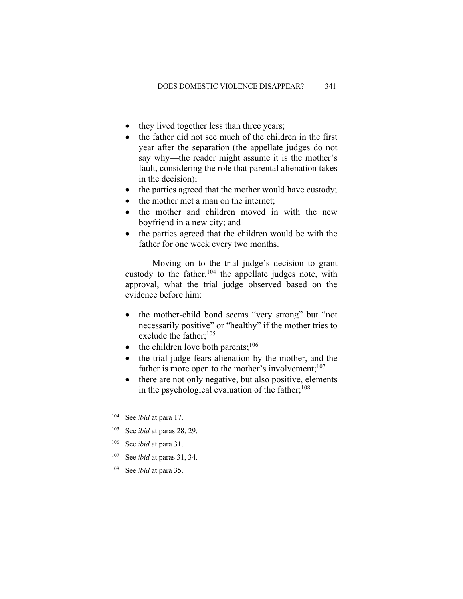- they lived together less than three years;
- the father did not see much of the children in the first year after the separation (the appellate judges do not say why—the reader might assume it is the mother's fault, considering the role that parental alienation takes in the decision);
- the parties agreed that the mother would have custody;
- the mother met a man on the internet:
- the mother and children moved in with the new boyfriend in a new city; and
- the parties agreed that the children would be with the father for one week every two months.

Moving on to the trial judge's decision to grant custody to the father,  $104$  the appellate judges note, with approval, what the trial judge observed based on the evidence before him:

- the mother-child bond seems "very strong" but "not necessarily positive" or "healthy" if the mother tries to exclude the father; 105
- $\bullet$  the children love both parents;<sup>106</sup>
- the trial judge fears alienation by the mother, and the father is more open to the mother's involvement;<sup>107</sup>
- there are not only negative, but also positive, elements in the psychological evaluation of the father;<sup>108</sup>

- <sup>106</sup> See *ibid* at para 31.
- <sup>107</sup> See *ibid* at paras 31, 34.
- <sup>108</sup> See *ibid* at para 35.

<sup>104</sup> See *ibid* at para 17.

<sup>105</sup> See *ibid* at paras 28, 29.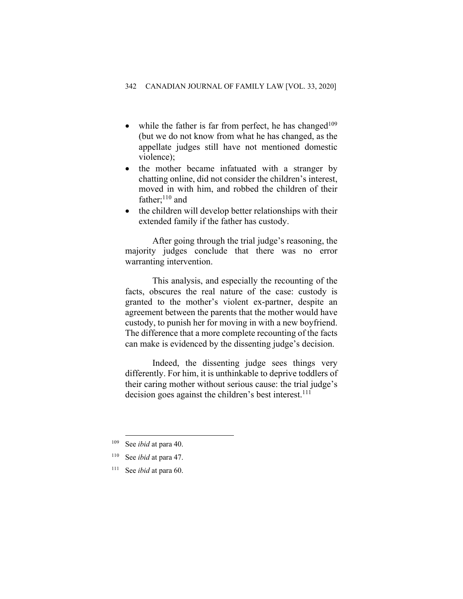- while the father is far from perfect, he has changed<sup>109</sup> (but we do not know from what he has changed, as the appellate judges still have not mentioned domestic violence);
- the mother became infatuated with a stranger by chatting online, did not consider the children's interest, moved in with him, and robbed the children of their father; $^{110}$  and
- the children will develop better relationships with their extended family if the father has custody.

After going through the trial judge's reasoning, the majority judges conclude that there was no error warranting intervention.

This analysis, and especially the recounting of the facts, obscures the real nature of the case: custody is granted to the mother's violent ex-partner, despite an agreement between the parents that the mother would have custody, to punish her for moving in with a new boyfriend. The difference that a more complete recounting of the facts can make is evidenced by the dissenting judge's decision.

Indeed, the dissenting judge sees things very differently. For him, it is unthinkable to deprive toddlers of their caring mother without serious cause: the trial judge's decision goes against the children's best interest.<sup>111</sup>

<sup>111</sup> See *ibid* at para 60.

<sup>109</sup> See *ibid* at para 40.

<sup>110</sup> See *ibid* at para 47.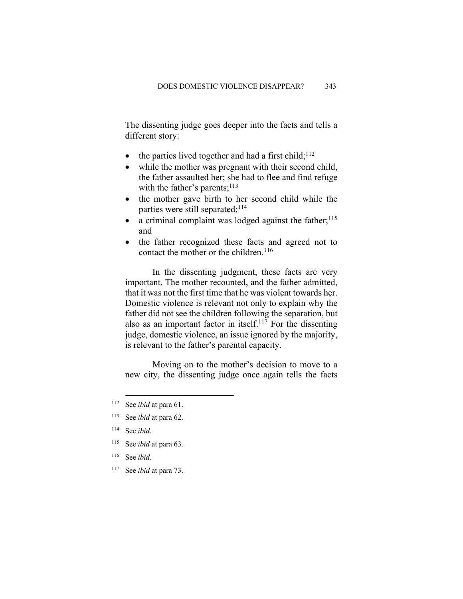The dissenting judge goes deeper into the facts and tells a different story:

- $\bullet$  the parties lived together and had a first child;<sup>112</sup>
- while the mother was pregnant with their second child, the father assaulted her; she had to flee and find refuge with the father's parents; $^{113}$
- the mother gave birth to her second child while the parties were still separated;<sup>114</sup>
- a criminal complaint was lodged against the father; $^{115}$ and
- the father recognized these facts and agreed not to contact the mother or the children. $116$

In the dissenting judgment, these facts are very important. The mother recounted, and the father admitted, that it was not the first time that he was violent towards her. Domestic violence is relevant not only to explain why the father did not see the children following the separation, but also as an important factor in itself. <sup>117</sup> For the dissenting judge, domestic violence, an issue ignored by the majority, is relevant to the father's parental capacity.

Moving on to the mother's decision to move to a new city, the dissenting judge once again tells the facts

- <sup>115</sup> See *ibid* at para 63.
- <sup>116</sup> See *ibid*.
- <sup>117</sup> See *ibid* at para 73.

<sup>112</sup> See *ibid* at para 61.

<sup>113</sup> See *ibid* at para 62.

<sup>114</sup> See *ibid*.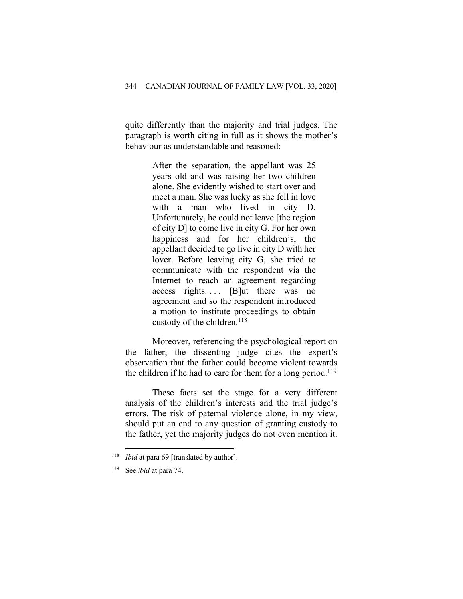quite differently than the majority and trial judges. The paragraph is worth citing in full as it shows the mother's behaviour as understandable and reasoned:

> After the separation, the appellant was 25 years old and was raising her two children alone. She evidently wished to start over and meet a man. She was lucky as she fell in love with a man who lived in city D. Unfortunately, he could not leave [the region of city D] to come live in city G. For her own happiness and for her children's, the appellant decided to go live in city D with her lover. Before leaving city G, she tried to communicate with the respondent via the Internet to reach an agreement regarding  $access$  rights.... [B]ut there was no agreement and so the respondent introduced a motion to institute proceedings to obtain custody of the children.<sup>118</sup>

Moreover, referencing the psychological report on the father, the dissenting judge cites the expert's observation that the father could become violent towards the children if he had to care for them for a long period.<sup>119</sup>

These facts set the stage for a very different analysis of the children's interests and the trial judge's errors. The risk of paternal violence alone, in my view, should put an end to any question of granting custody to the father, yet the majority judges do not even mention it.

<sup>118</sup> *Ibid* at para 69 [translated by author].

<sup>119</sup> See *ibid* at para 74.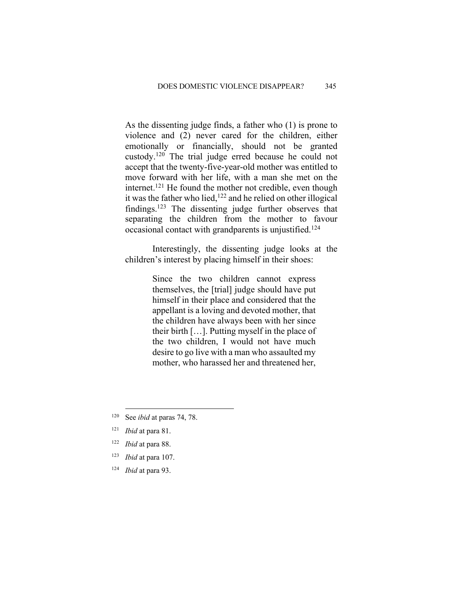As the dissenting judge finds, a father who (1) is prone to violence and (2) never cared for the children, either emotionally or financially, should not be granted custody.120 The trial judge erred because he could not accept that the twenty-five-year-old mother was entitled to move forward with her life, with a man she met on the internet.<sup>121</sup> He found the mother not credible, even though it was the father who lied,<sup>122</sup> and he relied on other illogical findings.<sup>123</sup> The dissenting judge further observes that separating the children from the mother to favour occasional contact with grandparents is unjustified.124

Interestingly, the dissenting judge looks at the children's interest by placing himself in their shoes:

> Since the two children cannot express themselves, the [trial] judge should have put himself in their place and considered that the appellant is a loving and devoted mother, that the children have always been with her since their birth […]. Putting myself in the place of the two children, I would not have much desire to go live with a man who assaulted my mother, who harassed her and threatened her,

<sup>124</sup> *Ibid* at para 93.

<sup>120</sup> See *ibid* at paras 74, 78.

<sup>121</sup> *Ibid* at para 81.

<sup>122</sup> *Ibid* at para 88.

<sup>123</sup> *Ibid* at para 107.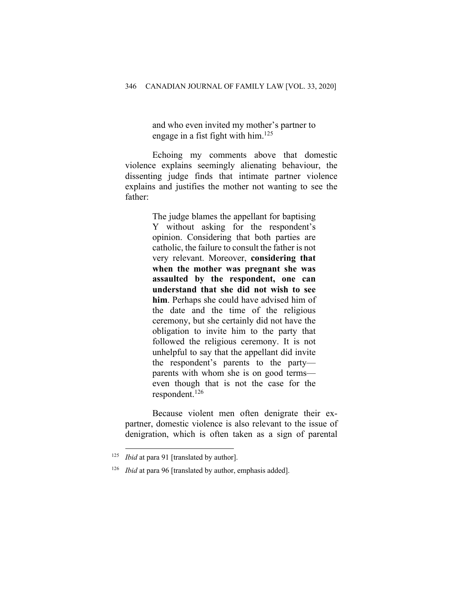and who even invited my mother's partner to engage in a fist fight with him. 125

Echoing my comments above that domestic violence explains seemingly alienating behaviour, the dissenting judge finds that intimate partner violence explains and justifies the mother not wanting to see the father:

> The judge blames the appellant for baptising Y without asking for the respondent's opinion. Considering that both parties are catholic, the failure to consult the father is not very relevant. Moreover, **considering that when the mother was pregnant she was assaulted by the respondent, one can understand that she did not wish to see him**. Perhaps she could have advised him of the date and the time of the religious ceremony, but she certainly did not have the obligation to invite him to the party that followed the religious ceremony. It is not unhelpful to say that the appellant did invite the respondent's parents to the party parents with whom she is on good terms even though that is not the case for the respondent. 126

Because violent men often denigrate their expartner, domestic violence is also relevant to the issue of denigration, which is often taken as a sign of parental

<sup>125</sup> *Ibid* at para 91 [translated by author].

<sup>&</sup>lt;sup>126</sup> *Ibid* at para 96 [translated by author, emphasis added].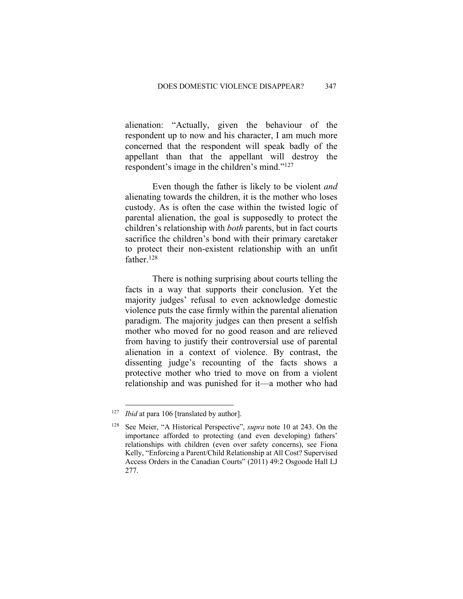alienation: "Actually, given the behaviour of the respondent up to now and his character, I am much more concerned that the respondent will speak badly of the appellant than that the appellant will destroy the respondent's image in the children's mind."127

Even though the father is likely to be violent *and*  alienating towards the children, it is the mother who loses custody. As is often the case within the twisted logic of parental alienation, the goal is supposedly to protect the children's relationship with *both* parents, but in fact courts sacrifice the children's bond with their primary caretaker to protect their non-existent relationship with an unfit father.<sup>128</sup>

There is nothing surprising about courts telling the facts in a way that supports their conclusion. Yet the majority judges' refusal to even acknowledge domestic violence puts the case firmly within the parental alienation paradigm. The majority judges can then present a selfish mother who moved for no good reason and are relieved from having to justify their controversial use of parental alienation in a context of violence. By contrast, the dissenting judge's recounting of the facts shows a protective mother who tried to move on from a violent relationship and was punished for it—a mother who had

<sup>&</sup>lt;sup>127</sup> *Ibid* at para 106 [translated by author].

See Meier, "A Historical Perspective", *supra* note 10 at 243. On the importance afforded to protecting (and even developing) fathers' relationships with children (even over safety concerns), see Fiona Kelly, "Enforcing a Parent/Child Relationship at All Cost? Supervised Access Orders in the Canadian Courts" (2011) 49:2 Osgoode Hall LJ 277.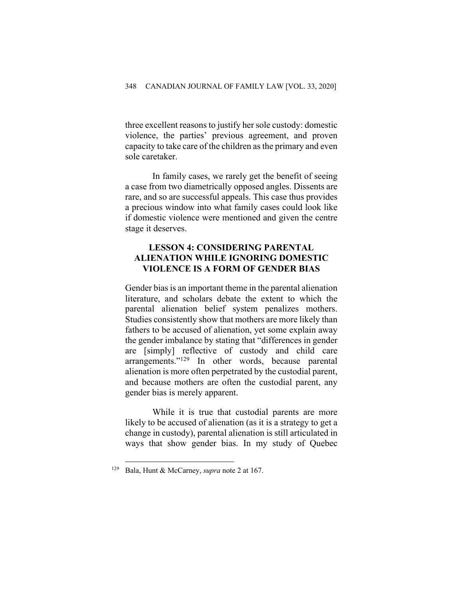three excellent reasons to justify her sole custody: domestic violence, the parties' previous agreement, and proven capacity to take care of the children as the primary and even sole caretaker.

In family cases, we rarely get the benefit of seeing a case from two diametrically opposed angles. Dissents are rare, and so are successful appeals. This case thus provides a precious window into what family cases could look like if domestic violence were mentioned and given the centre stage it deserves.

#### **LESSON 4: CONSIDERING PARENTAL ALIENATION WHILE IGNORING DOMESTIC VIOLENCE IS A FORM OF GENDER BIAS**

Gender bias is an important theme in the parental alienation literature, and scholars debate the extent to which the parental alienation belief system penalizes mothers. Studies consistently show that mothers are more likely than fathers to be accused of alienation, yet some explain away the gender imbalance by stating that "differences in gender are [simply] reflective of custody and child care arrangements."129 In other words, because parental alienation is more often perpetrated by the custodial parent, and because mothers are often the custodial parent, any gender bias is merely apparent.

While it is true that custodial parents are more likely to be accused of alienation (as it is a strategy to get a change in custody), parental alienation is still articulated in ways that show gender bias. In my study of Quebec

<sup>129</sup> Bala, Hunt & McCarney, *supra* note 2 at 167.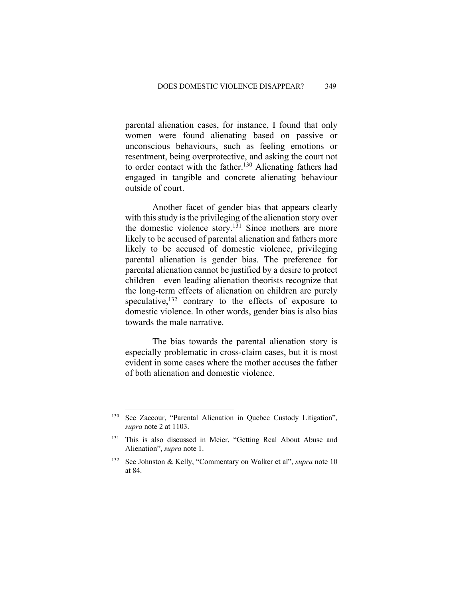parental alienation cases, for instance, I found that only women were found alienating based on passive or unconscious behaviours, such as feeling emotions or resentment, being overprotective, and asking the court not to order contact with the father.<sup>130</sup> Alienating fathers had engaged in tangible and concrete alienating behaviour outside of court.

Another facet of gender bias that appears clearly with this study is the privileging of the alienation story over the domestic violence story.<sup>131</sup> Since mothers are more likely to be accused of parental alienation and fathers more likely to be accused of domestic violence, privileging parental alienation is gender bias. The preference for parental alienation cannot be justified by a desire to protect children—even leading alienation theorists recognize that the long-term effects of alienation on children are purely speculative,  $132$  contrary to the effects of exposure to domestic violence. In other words, gender bias is also bias towards the male narrative.

The bias towards the parental alienation story is especially problematic in cross-claim cases, but it is most evident in some cases where the mother accuses the father of both alienation and domestic violence.

<sup>130</sup> See Zaccour, "Parental Alienation in Quebec Custody Litigation", *supra* note 2 at 1103.

<sup>&</sup>lt;sup>131</sup> This is also discussed in Meier, "Getting Real About Abuse and Alienation", *supra* note 1.

<sup>132</sup> See Johnston & Kelly, "Commentary on Walker et al", *supra* note 10 at 84.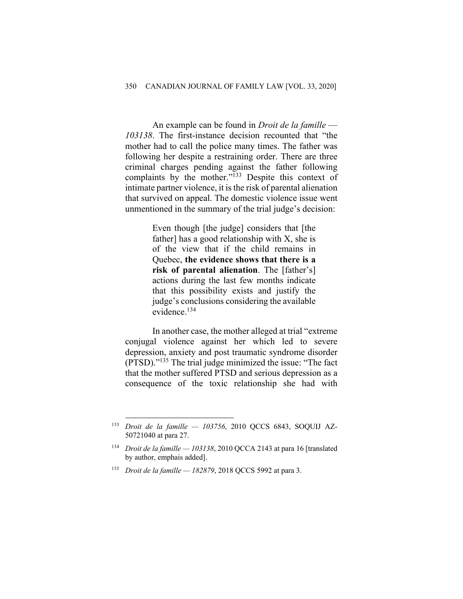An example can be found in *Droit de la famille* — *103138*. The first-instance decision recounted that "the mother had to call the police many times. The father was following her despite a restraining order. There are three criminal charges pending against the father following complaints by the mother."<sup>133</sup> Despite this context of intimate partner violence, it is the risk of parental alienation that survived on appeal. The domestic violence issue went unmentioned in the summary of the trial judge's decision:

> Even though [the judge] considers that [the father] has a good relationship with X, she is of the view that if the child remains in Quebec, **the evidence shows that there is a risk of parental alienation**. The [father's] actions during the last few months indicate that this possibility exists and justify the judge's conclusions considering the available evidence.134

In another case, the mother alleged at trial "extreme conjugal violence against her which led to severe depression, anxiety and post traumatic syndrome disorder (PTSD)."135 The trial judge minimized the issue: "The fact that the mother suffered PTSD and serious depression as a consequence of the toxic relationship she had with

<sup>133</sup> *Droit de la famille — 103756*, 2010 QCCS 6843, SOQUIJ AZ-50721040 at para 27.

<sup>134</sup> *Droit de la famille — 103138*, 2010 QCCA 2143 at para 16 [translated by author, emphais added].

<sup>135</sup> *Droit de la famille — 182879*, 2018 QCCS 5992 at para 3.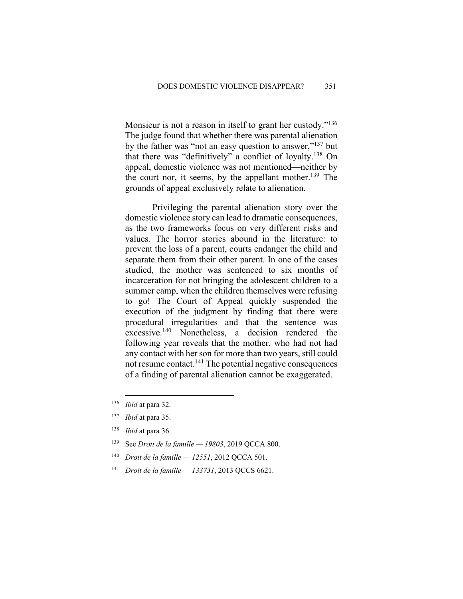Monsieur is not a reason in itself to grant her custody."<sup>136</sup> The judge found that whether there was parental alienation by the father was "not an easy question to answer,"137 but that there was "definitively" a conflict of loyalty. <sup>138</sup> On appeal, domestic violence was not mentioned—neither by the court nor, it seems, by the appellant mother. <sup>139</sup> The grounds of appeal exclusively relate to alienation.

Privileging the parental alienation story over the domestic violence story can lead to dramatic consequences, as the two frameworks focus on very different risks and values. The horror stories abound in the literature: to prevent the loss of a parent, courts endanger the child and separate them from their other parent. In one of the cases studied, the mother was sentenced to six months of incarceration for not bringing the adolescent children to a summer camp, when the children themselves were refusing to go! The Court of Appeal quickly suspended the execution of the judgment by finding that there were procedural irregularities and that the sentence was excessive.140 Nonetheless, a decision rendered the following year reveals that the mother, who had not had any contact with her son for more than two years, still could not resume contact.141 The potential negative consequences of a finding of parental alienation cannot be exaggerated.

- <sup>139</sup> See *Droit de la famille — 19803*, 2019 QCCA 800.
- <sup>140</sup> *Droit de la famille — 12551*, 2012 QCCA 501.
- <sup>141</sup> *Droit de la famille — 133731*, 2013 QCCS 6621.

<sup>136</sup> *Ibid* at para 32.

<sup>137</sup> *Ibid* at para 35.

<sup>138</sup> *Ibid* at para 36.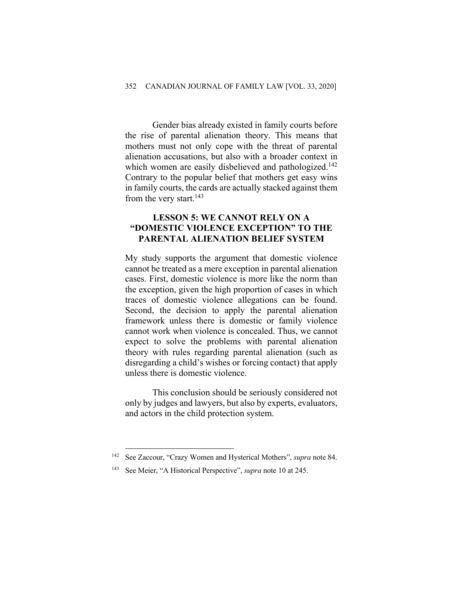Gender bias already existed in family courts before the rise of parental alienation theory. This means that mothers must not only cope with the threat of parental alienation accusations, but also with a broader context in which women are easily disbelieved and pathologized.<sup>142</sup> Contrary to the popular belief that mothers get easy wins in family courts, the cards are actually stacked against them from the very start.<sup>143</sup>

#### **LESSON 5: WE CANNOT RELY ON A "DOMESTIC VIOLENCE EXCEPTION" TO THE PARENTAL ALIENATION BELIEF SYSTEM**

My study supports the argument that domestic violence cannot be treated as a mere exception in parental alienation cases. First, domestic violence is more like the norm than the exception, given the high proportion of cases in which traces of domestic violence allegations can be found. Second, the decision to apply the parental alienation framework unless there is domestic or family violence cannot work when violence is concealed. Thus, we cannot expect to solve the problems with parental alienation theory with rules regarding parental alienation (such as disregarding a child's wishes or forcing contact) that apply unless there is domestic violence.

This conclusion should be seriously considered not only by judges and lawyers, but also by experts, evaluators, and actors in the child protection system.

<sup>142</sup> See Zaccour, "Crazy Women and Hysterical Mothers", *supra* note 84.

<sup>143</sup> See Meier, "A Historical Perspective", *supra* note 10 at 245.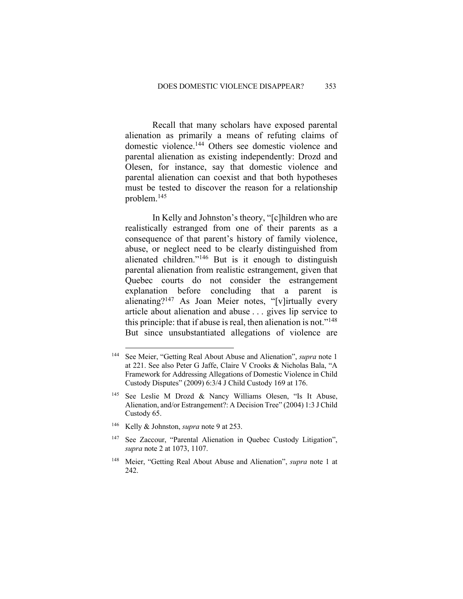Recall that many scholars have exposed parental alienation as primarily a means of refuting claims of domestic violence.144 Others see domestic violence and parental alienation as existing independently: Drozd and Olesen, for instance, say that domestic violence and parental alienation can coexist and that both hypotheses must be tested to discover the reason for a relationship problem. 145

In Kelly and Johnston's theory, "[c]hildren who are realistically estranged from one of their parents as a consequence of that parent's history of family violence, abuse, or neglect need to be clearly distinguished from alienated children."146 But is it enough to distinguish parental alienation from realistic estrangement, given that Quebec courts do not consider the estrangement explanation before concluding that a parent is alienating?147 As Joan Meier notes, "[v]irtually every article about alienation and abuse . . . gives lip service to this principle: that if abuse is real, then alienation is not." $148$ But since unsubstantiated allegations of violence are

<sup>146</sup> Kelly & Johnston, *supra* note 9 at 253.

<sup>144</sup> See Meier, "Getting Real About Abuse and Alienation", *supra* note 1 at 221. See also Peter G Jaffe, Claire V Crooks & Nicholas Bala, "A Framework for Addressing Allegations of Domestic Violence in Child Custody Disputes" (2009) 6:3/4 J Child Custody 169 at 176.

<sup>&</sup>lt;sup>145</sup> See Leslie M Drozd & Nancy Williams Olesen, "Is It Abuse, Alienation, and/or Estrangement?: A Decision Tree" (2004) 1:3 J Child Custody 65.

<sup>&</sup>lt;sup>147</sup> See Zaccour, "Parental Alienation in Quebec Custody Litigation", *supra* note 2 at 1073, 1107.

<sup>148</sup> Meier, "Getting Real About Abuse and Alienation", *supra* note 1 at 242.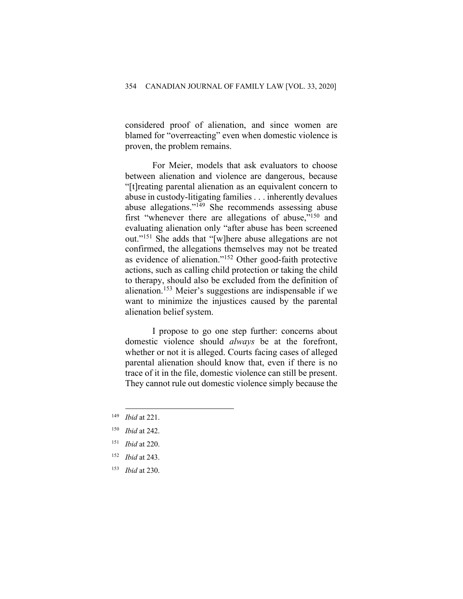considered proof of alienation, and since women are blamed for "overreacting" even when domestic violence is proven, the problem remains.

For Meier, models that ask evaluators to choose between alienation and violence are dangerous, because "[t]reating parental alienation as an equivalent concern to abuse in custody-litigating families . . . inherently devalues abuse allegations."<sup>149</sup> She recommends assessing abuse first "whenever there are allegations of abuse,"150 and evaluating alienation only "after abuse has been screened out."151 She adds that "[w]here abuse allegations are not confirmed, the allegations themselves may not be treated as evidence of alienation."152 Other good-faith protective actions, such as calling child protection or taking the child to therapy, should also be excluded from the definition of alienation.153 Meier's suggestions are indispensable if we want to minimize the injustices caused by the parental alienation belief system.

I propose to go one step further: concerns about domestic violence should *always* be at the forefront, whether or not it is alleged. Courts facing cases of alleged parental alienation should know that, even if there is no trace of it in the file, domestic violence can still be present. They cannot rule out domestic violence simply because the

<sup>149</sup> *Ibid* at 221.

<sup>150</sup> *Ibid* at 242.

<sup>151</sup> *Ibid* at 220.

<sup>152</sup> *Ibid* at 243.

<sup>153</sup> *Ibid* at 230.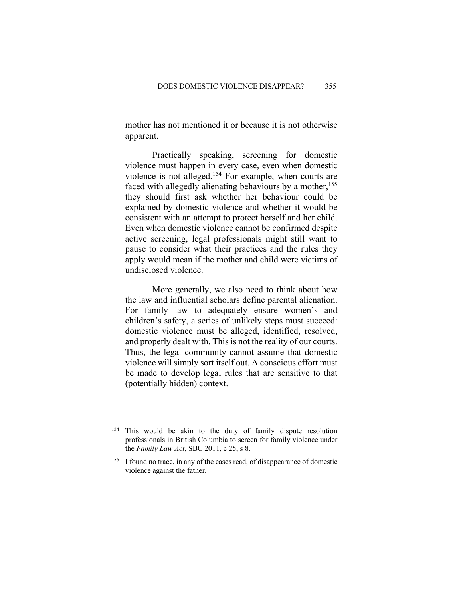mother has not mentioned it or because it is not otherwise apparent.

Practically speaking, screening for domestic violence must happen in every case, even when domestic violence is not alleged.154 For example, when courts are faced with allegedly alienating behaviours by a mother,<sup>155</sup> they should first ask whether her behaviour could be explained by domestic violence and whether it would be consistent with an attempt to protect herself and her child. Even when domestic violence cannot be confirmed despite active screening, legal professionals might still want to pause to consider what their practices and the rules they apply would mean if the mother and child were victims of undisclosed violence.

More generally, we also need to think about how the law and influential scholars define parental alienation. For family law to adequately ensure women's and children's safety, a series of unlikely steps must succeed: domestic violence must be alleged, identified, resolved, and properly dealt with. This is not the reality of our courts. Thus, the legal community cannot assume that domestic violence will simply sort itself out. A conscious effort must be made to develop legal rules that are sensitive to that (potentially hidden) context.

<sup>&</sup>lt;sup>154</sup> This would be akin to the duty of family dispute resolution professionals in British Columbia to screen for family violence under the *Family Law Act*, SBC 2011, c 25, s 8.

<sup>&</sup>lt;sup>155</sup> I found no trace, in any of the cases read, of disappearance of domestic violence against the father.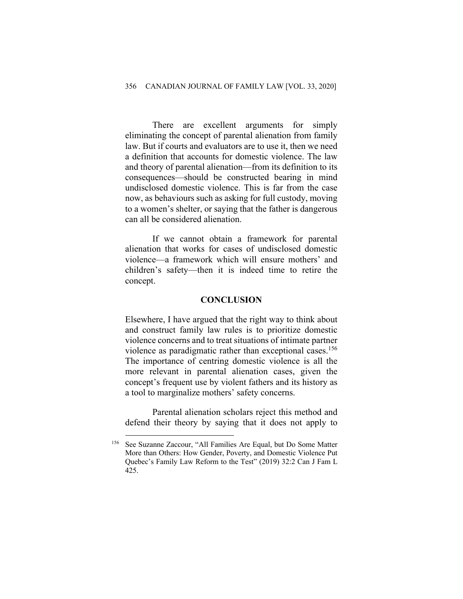There are excellent arguments for simply eliminating the concept of parental alienation from family law. But if courts and evaluators are to use it, then we need a definition that accounts for domestic violence. The law and theory of parental alienation—from its definition to its consequences—should be constructed bearing in mind undisclosed domestic violence. This is far from the case now, as behaviours such as asking for full custody, moving to a women's shelter, or saying that the father is dangerous can all be considered alienation.

If we cannot obtain a framework for parental alienation that works for cases of undisclosed domestic violence—a framework which will ensure mothers' and children's safety—then it is indeed time to retire the concept.

#### **CONCLUSION**

Elsewhere, I have argued that the right way to think about and construct family law rules is to prioritize domestic violence concerns and to treat situations of intimate partner violence as paradigmatic rather than exceptional cases. 156 The importance of centring domestic violence is all the more relevant in parental alienation cases, given the concept's frequent use by violent fathers and its history as a tool to marginalize mothers' safety concerns.

Parental alienation scholars reject this method and defend their theory by saying that it does not apply to

<sup>156</sup> See Suzanne Zaccour, "All Families Are Equal, but Do Some Matter More than Others: How Gender, Poverty, and Domestic Violence Put Quebec's Family Law Reform to the Test" (2019) 32:2 Can J Fam L 425.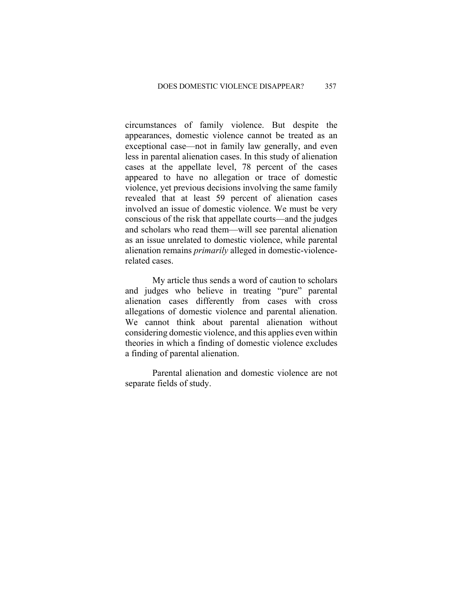circumstances of family violence. But despite the appearances, domestic violence cannot be treated as an exceptional case—not in family law generally, and even less in parental alienation cases. In this study of alienation cases at the appellate level, 78 percent of the cases appeared to have no allegation or trace of domestic violence, yet previous decisions involving the same family revealed that at least 59 percent of alienation cases involved an issue of domestic violence. We must be very conscious of the risk that appellate courts—and the judges and scholars who read them—will see parental alienation as an issue unrelated to domestic violence, while parental alienation remains *primarily* alleged in domestic-violencerelated cases.

My article thus sends a word of caution to scholars and judges who believe in treating "pure" parental alienation cases differently from cases with cross allegations of domestic violence and parental alienation. We cannot think about parental alienation without considering domestic violence, and this applies even within theories in which a finding of domestic violence excludes a finding of parental alienation.

Parental alienation and domestic violence are not separate fields of study.